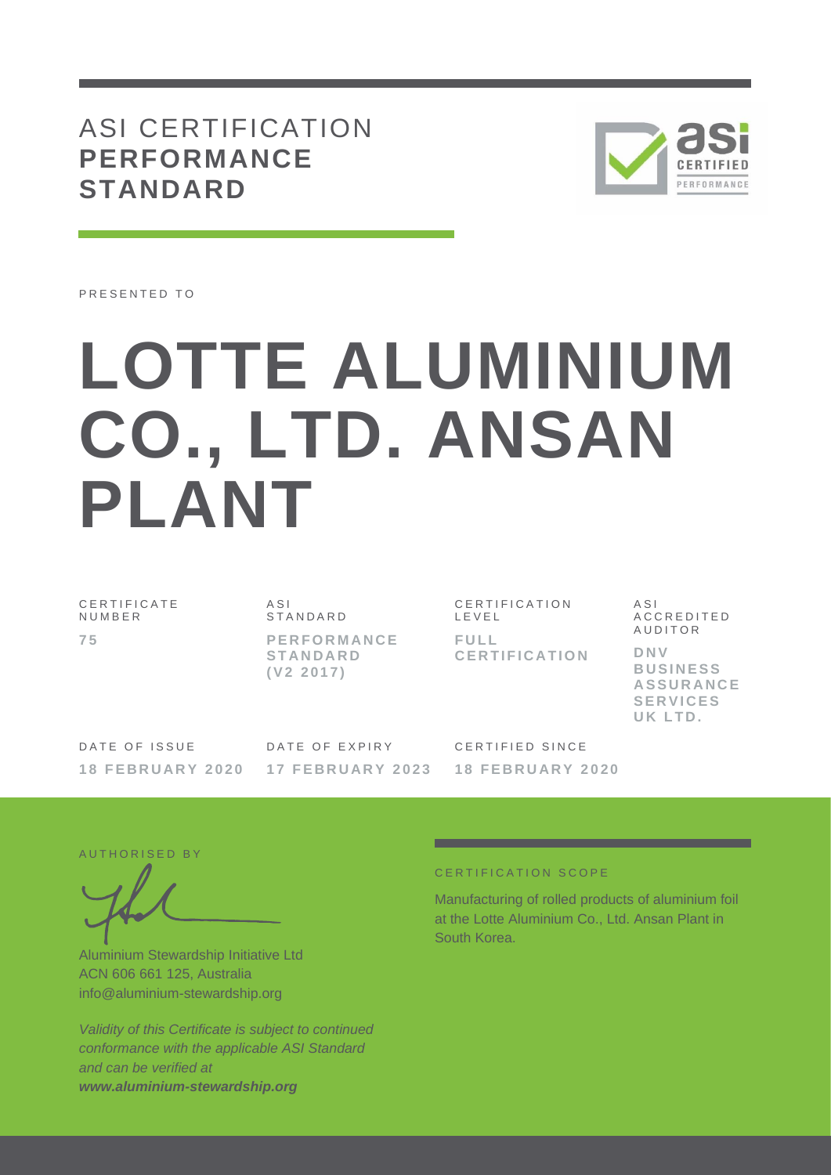## ASI CERTIFICATION **PERFORMANCE STANDARD**



PRESENTED TO

# **LOTTE ALUMINIUM CO., LTD. ANSAN PLANT**

C E R T I F I C A T E **NUMBER 7 5**

A S I **STANDARD P E R F O R M A N C E S T A N D A R D ( V 2 2 0 1 7 )**

C E R T I F I C A T I O N L E V E L **F U L L C E R T I F I C A T I O N** A S I A C C R E D I T E D **AUDITOR D N V B U S I N E S S A S S U R A N C E S E R V I C E S**  UK LTD.

DATE OF ISSUE **1 8 F E B R U A R Y 2 0 2 0** DATE OF EXPIRY **1 7 F E B R U A R Y 2 0 2 3** C E R T I F I E D S I N C E **1 8 F E B R U A R Y 2 0 2 0**

AUTHORISED BY

Aluminium Stewardship Initiative Ltd ACN 606 661 125, Australia info@aluminium-stewardship.org

*Validity of this Certificate is subject to continued conformance with the applicable ASI Standard and can be verified at www.aluminium-stewardship.org*

#### CERTIFICATION SCOPE

Manufacturing of rolled products of aluminium foil at the Lotte Aluminium Co., Ltd. Ansan Plant in South Korea.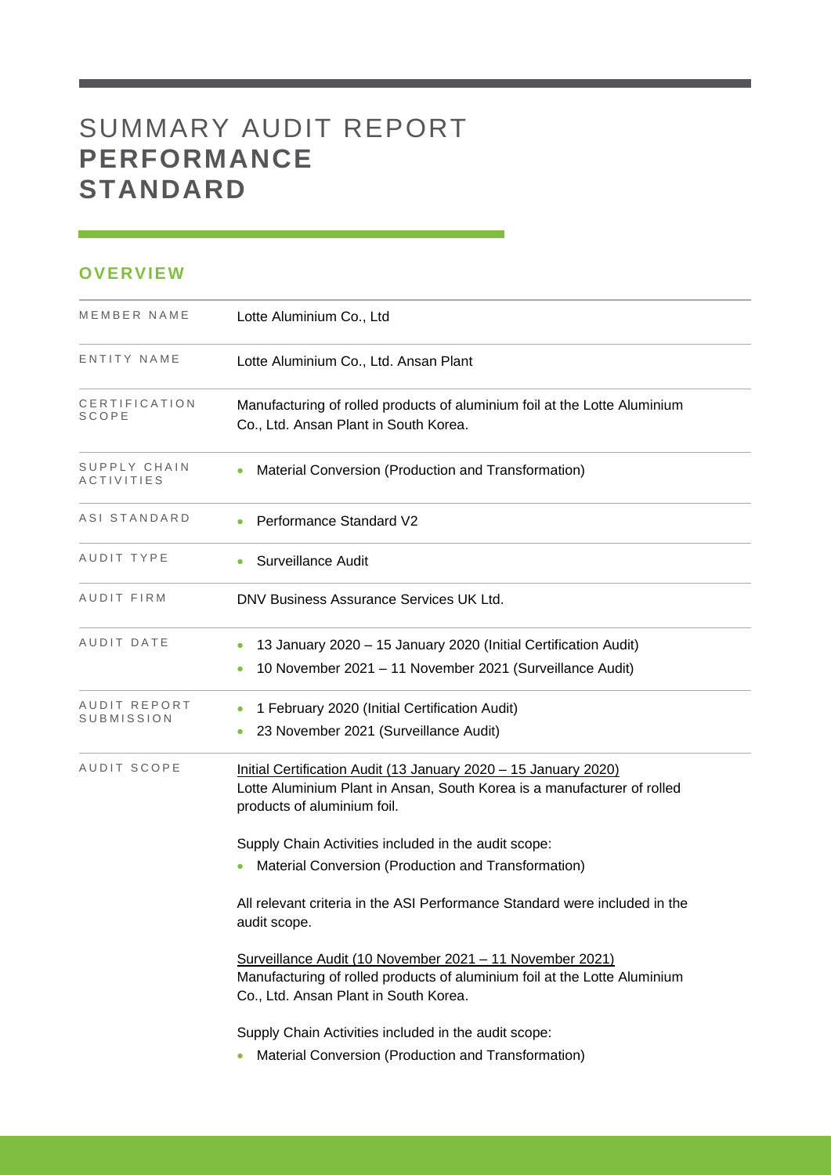# SUMMARY AUDIT REPORT **PERFORMANCE STANDARD**

### **OVERVIEW**

| MEMBER NAME                | Lotte Aluminium Co., Ltd                                                                                                                                                       |
|----------------------------|--------------------------------------------------------------------------------------------------------------------------------------------------------------------------------|
| ENTITY NAME                | Lotte Aluminium Co., Ltd. Ansan Plant                                                                                                                                          |
| CERTIFICATION<br>SCOPE     | Manufacturing of rolled products of aluminium foil at the Lotte Aluminium<br>Co., Ltd. Ansan Plant in South Korea.                                                             |
| SUPPLY CHAIN<br>ACTIVITIES | Material Conversion (Production and Transformation)<br>$\bullet$                                                                                                               |
| ASI STANDARD               | Performance Standard V2                                                                                                                                                        |
| AUDIT TYPE                 | <b>Surveillance Audit</b>                                                                                                                                                      |
| AUDIT FIRM                 | DNV Business Assurance Services UK Ltd.                                                                                                                                        |
| AUDIT DATE                 | 13 January 2020 - 15 January 2020 (Initial Certification Audit)<br>10 November 2021 - 11 November 2021 (Surveillance Audit)                                                    |
| AUDIT REPORT<br>SUBMISSION | 1 February 2020 (Initial Certification Audit)<br>$\bullet$<br>23 November 2021 (Surveillance Audit)                                                                            |
| AUDIT SCOPE                | Initial Certification Audit (13 January 2020 - 15 January 2020)<br>Lotte Aluminium Plant in Ansan, South Korea is a manufacturer of rolled<br>products of aluminium foil.      |
|                            | Supply Chain Activities included in the audit scope:<br>Material Conversion (Production and Transformation)                                                                    |
|                            | All relevant criteria in the ASI Performance Standard were included in the<br>audit scope.                                                                                     |
|                            | Surveillance Audit (10 November 2021 - 11 November 2021)<br>Manufacturing of rolled products of aluminium foil at the Lotte Aluminium<br>Co., Ltd. Ansan Plant in South Korea. |
|                            | Supply Chain Activities included in the audit scope:<br>Material Conversion (Production and Transformation)                                                                    |

and the control of the control of the control of the control of the control of the control of the control of the control of the control of the control of the control of the control of the control of the control of the cont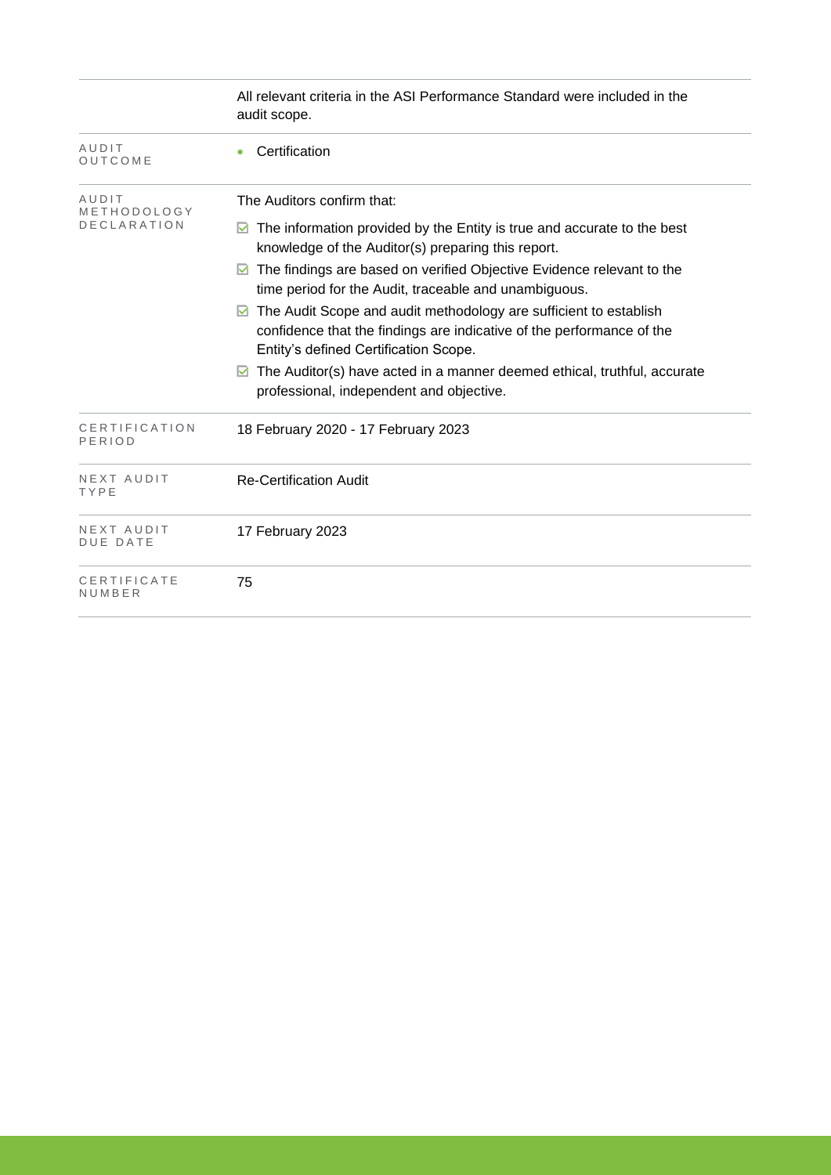|                                | All relevant criteria in the ASI Performance Standard were included in the<br>audit scope.                                                                                               |
|--------------------------------|------------------------------------------------------------------------------------------------------------------------------------------------------------------------------------------|
| AUDIT<br>OUTCOME               | Certification                                                                                                                                                                            |
| AUDIT<br>METHODOLOGY           | The Auditors confirm that:                                                                                                                                                               |
| <b>DECLARATION</b>             | $\boxtimes$ The information provided by the Entity is true and accurate to the best<br>knowledge of the Auditor(s) preparing this report.                                                |
|                                | The findings are based on verified Objective Evidence relevant to the<br>M<br>time period for the Audit, traceable and unambiguous.                                                      |
|                                | The Audit Scope and audit methodology are sufficient to establish<br>M<br>confidence that the findings are indicative of the performance of the<br>Entity's defined Certification Scope. |
|                                | The Auditor(s) have acted in a manner deemed ethical, truthful, accurate<br>M<br>professional, independent and objective.                                                                |
| <b>CERTIFICATION</b><br>PERIOD | 18 February 2020 - 17 February 2023                                                                                                                                                      |
| NEXT AUDIT<br>TYPE             | <b>Re-Certification Audit</b>                                                                                                                                                            |
| NEXT AUDIT<br><b>DUE DATE</b>  | 17 February 2023                                                                                                                                                                         |
| CERTIFICATE<br>NUMBER          | 75                                                                                                                                                                                       |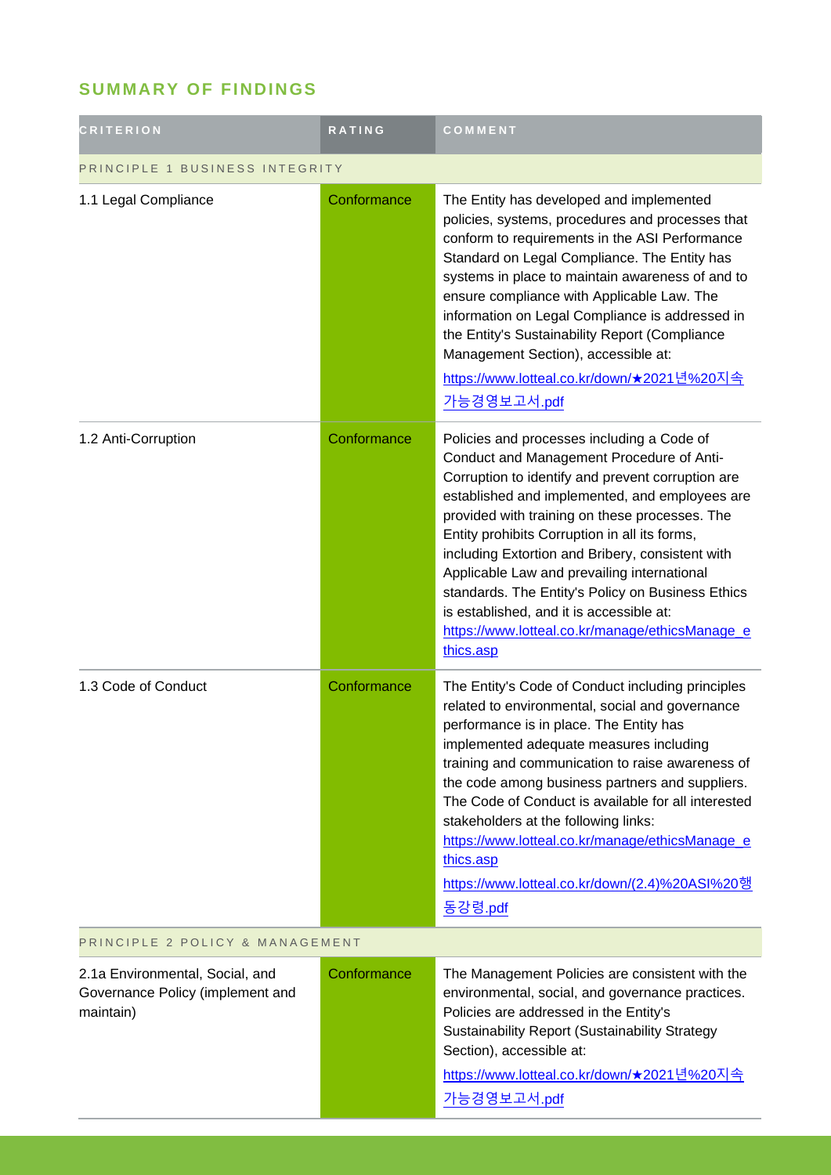## **SUMMARY OF FINDINGS**

| <b>CRITERION</b>                                                                 | <b>RATING</b> | COMMENT                                                                                                                                                                                                                                                                                                                                                                                                                                                                                                                                                               |  |
|----------------------------------------------------------------------------------|---------------|-----------------------------------------------------------------------------------------------------------------------------------------------------------------------------------------------------------------------------------------------------------------------------------------------------------------------------------------------------------------------------------------------------------------------------------------------------------------------------------------------------------------------------------------------------------------------|--|
| PRINCIPLE 1 BUSINESS INTEGRITY                                                   |               |                                                                                                                                                                                                                                                                                                                                                                                                                                                                                                                                                                       |  |
| 1.1 Legal Compliance                                                             | Conformance   | The Entity has developed and implemented<br>policies, systems, procedures and processes that<br>conform to requirements in the ASI Performance<br>Standard on Legal Compliance. The Entity has<br>systems in place to maintain awareness of and to<br>ensure compliance with Applicable Law. The<br>information on Legal Compliance is addressed in<br>the Entity's Sustainability Report (Compliance<br>Management Section), accessible at:<br><u>https://www.lotteal.co.kr/down/★2021년%20지속</u><br>가능경영보고서.pdf                                                      |  |
| 1.2 Anti-Corruption                                                              | Conformance   | Policies and processes including a Code of<br>Conduct and Management Procedure of Anti-<br>Corruption to identify and prevent corruption are<br>established and implemented, and employees are<br>provided with training on these processes. The<br>Entity prohibits Corruption in all its forms,<br>including Extortion and Bribery, consistent with<br>Applicable Law and prevailing international<br>standards. The Entity's Policy on Business Ethics<br>is established, and it is accessible at:<br>https://www.lotteal.co.kr/manage/ethicsManage_e<br>thics.asp |  |
| 1.3 Code of Conduct                                                              | Conformance   | The Entity's Code of Conduct including principles<br>related to environmental, social and governance<br>performance is in place. The Entity has<br>implemented adequate measures including<br>training and communication to raise awareness of<br>the code among business partners and suppliers.<br>The Code of Conduct is available for all interested<br>stakeholders at the following links:<br>https://www.lotteal.co.kr/manage/ethicsManage_e<br>thics.asp<br>https://www.lotteal.co.kr/down/(2.4)%20ASI%20행<br>동강령.pdf                                         |  |
| PRINCIPLE 2 POLICY & MANAGEMENT                                                  |               |                                                                                                                                                                                                                                                                                                                                                                                                                                                                                                                                                                       |  |
| 2.1a Environmental, Social, and<br>Governance Policy (implement and<br>maintain) | Conformance   | The Management Policies are consistent with the<br>environmental, social, and governance practices.<br>Policies are addressed in the Entity's<br><b>Sustainability Report (Sustainability Strategy</b><br>Section), accessible at:<br><u>https://www.lotteal.co.kr/down/★2021년%20지속</u><br>가능경영보고서.pdf                                                                                                                                                                                                                                                                |  |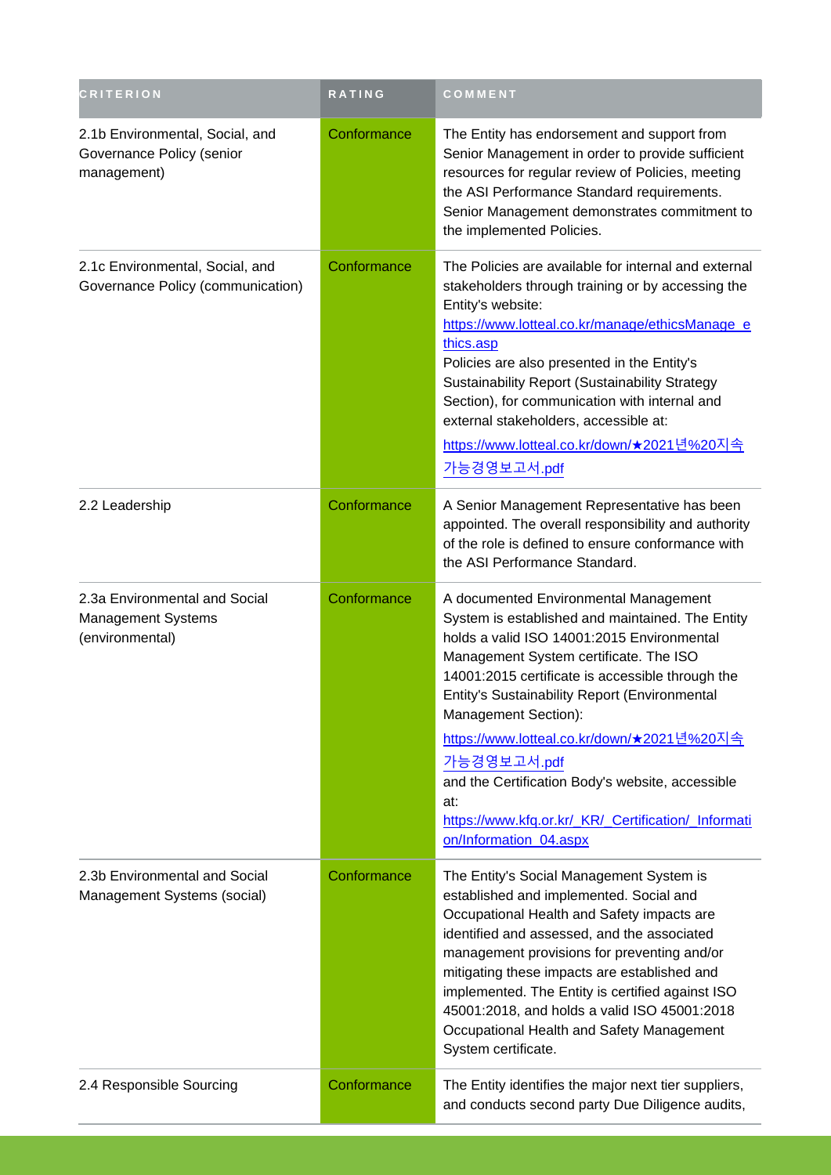| <b>CRITERION</b>                                                              | <b>RATING</b> | COMMENT                                                                                                                                                                                                                                                                                                                                                                                                                                                                                                                        |
|-------------------------------------------------------------------------------|---------------|--------------------------------------------------------------------------------------------------------------------------------------------------------------------------------------------------------------------------------------------------------------------------------------------------------------------------------------------------------------------------------------------------------------------------------------------------------------------------------------------------------------------------------|
| 2.1b Environmental, Social, and<br>Governance Policy (senior<br>management)   | Conformance   | The Entity has endorsement and support from<br>Senior Management in order to provide sufficient<br>resources for regular review of Policies, meeting<br>the ASI Performance Standard requirements.<br>Senior Management demonstrates commitment to<br>the implemented Policies.                                                                                                                                                                                                                                                |
| 2.1c Environmental, Social, and<br>Governance Policy (communication)          | Conformance   | The Policies are available for internal and external<br>stakeholders through training or by accessing the<br>Entity's website:<br>https://www.lotteal.co.kr/manage/ethicsManage_e<br>thics.asp<br>Policies are also presented in the Entity's<br>Sustainability Report (Sustainability Strategy<br>Section), for communication with internal and<br>external stakeholders, accessible at:<br><u>https://www.lotteal.co.kr/down/★2021년%20지속</u><br>가능경영보고서.pdf                                                                  |
| 2.2 Leadership                                                                | Conformance   | A Senior Management Representative has been<br>appointed. The overall responsibility and authority<br>of the role is defined to ensure conformance with<br>the ASI Performance Standard.                                                                                                                                                                                                                                                                                                                                       |
| 2.3a Environmental and Social<br><b>Management Systems</b><br>(environmental) | Conformance   | A documented Environmental Management<br>System is established and maintained. The Entity<br>holds a valid ISO 14001:2015 Environmental<br>Management System certificate. The ISO<br>14001:2015 certificate is accessible through the<br>Entity's Sustainability Report (Environmental<br>Management Section):<br><u>https://www.lotteal.co.kr/down/★2021년%20지속</u><br>가능경영보고서.pdf<br>and the Certification Body's website, accessible<br>at:<br>https://www.kfq.or.kr/_KR/_Certification/_Informati<br>on/Information 04.aspx |
| 2.3b Environmental and Social<br>Management Systems (social)                  | Conformance   | The Entity's Social Management System is<br>established and implemented. Social and<br>Occupational Health and Safety impacts are<br>identified and assessed, and the associated<br>management provisions for preventing and/or<br>mitigating these impacts are established and<br>implemented. The Entity is certified against ISO<br>45001:2018, and holds a valid ISO 45001:2018<br>Occupational Health and Safety Management<br>System certificate.                                                                        |
| 2.4 Responsible Sourcing                                                      | Conformance   | The Entity identifies the major next tier suppliers,<br>and conducts second party Due Diligence audits,                                                                                                                                                                                                                                                                                                                                                                                                                        |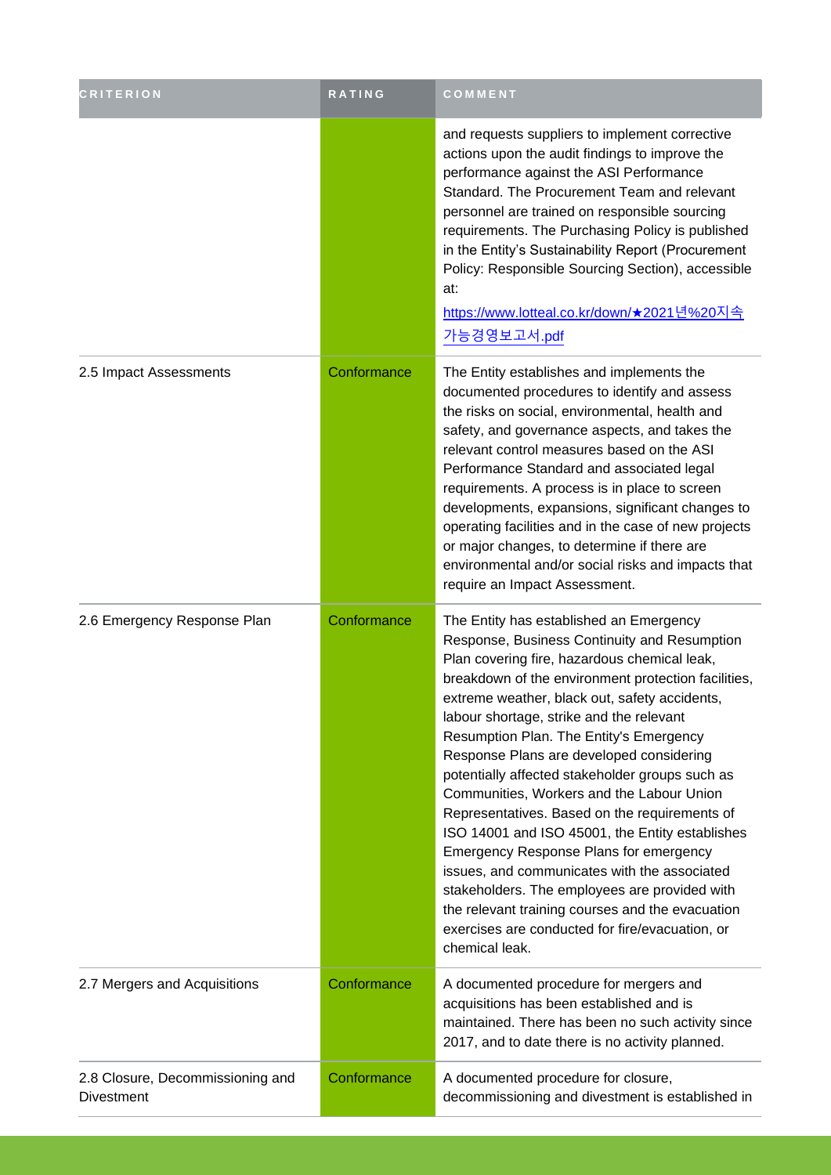| <b>CRITERION</b>                                      | RATING      | COMMENT                                                                                                                                                                                                                                                                                                                                                                                                                                                                                                                                                                                                                                                                                                                                                                                                                                                    |  |
|-------------------------------------------------------|-------------|------------------------------------------------------------------------------------------------------------------------------------------------------------------------------------------------------------------------------------------------------------------------------------------------------------------------------------------------------------------------------------------------------------------------------------------------------------------------------------------------------------------------------------------------------------------------------------------------------------------------------------------------------------------------------------------------------------------------------------------------------------------------------------------------------------------------------------------------------------|--|
|                                                       |             | and requests suppliers to implement corrective<br>actions upon the audit findings to improve the<br>performance against the ASI Performance<br>Standard. The Procurement Team and relevant<br>personnel are trained on responsible sourcing<br>requirements. The Purchasing Policy is published<br>in the Entity's Sustainability Report (Procurement<br>Policy: Responsible Sourcing Section), accessible<br>at:<br><u>https://www.lotteal.co.kr/down/★2021년%20지속</u><br>가능경영보고서.pdf                                                                                                                                                                                                                                                                                                                                                                      |  |
| 2.5 Impact Assessments                                | Conformance | The Entity establishes and implements the<br>documented procedures to identify and assess<br>the risks on social, environmental, health and<br>safety, and governance aspects, and takes the<br>relevant control measures based on the ASI<br>Performance Standard and associated legal<br>requirements. A process is in place to screen<br>developments, expansions, significant changes to<br>operating facilities and in the case of new projects<br>or major changes, to determine if there are<br>environmental and/or social risks and impacts that<br>require an Impact Assessment.                                                                                                                                                                                                                                                                 |  |
| 2.6 Emergency Response Plan                           | Conformance | The Entity has established an Emergency<br>Response, Business Continuity and Resumption<br>Plan covering fire, hazardous chemical leak,<br>breakdown of the environment protection facilities,<br>extreme weather, black out, safety accidents,<br>labour shortage, strike and the relevant<br>Resumption Plan. The Entity's Emergency<br>Response Plans are developed considering<br>potentially affected stakeholder groups such as<br>Communities, Workers and the Labour Union<br>Representatives. Based on the requirements of<br>ISO 14001 and ISO 45001, the Entity establishes<br>Emergency Response Plans for emergency<br>issues, and communicates with the associated<br>stakeholders. The employees are provided with<br>the relevant training courses and the evacuation<br>exercises are conducted for fire/evacuation, or<br>chemical leak. |  |
| 2.7 Mergers and Acquisitions                          | Conformance | A documented procedure for mergers and<br>acquisitions has been established and is<br>maintained. There has been no such activity since<br>2017, and to date there is no activity planned.                                                                                                                                                                                                                                                                                                                                                                                                                                                                                                                                                                                                                                                                 |  |
| 2.8 Closure, Decommissioning and<br><b>Divestment</b> | Conformance | A documented procedure for closure,<br>decommissioning and divestment is established in                                                                                                                                                                                                                                                                                                                                                                                                                                                                                                                                                                                                                                                                                                                                                                    |  |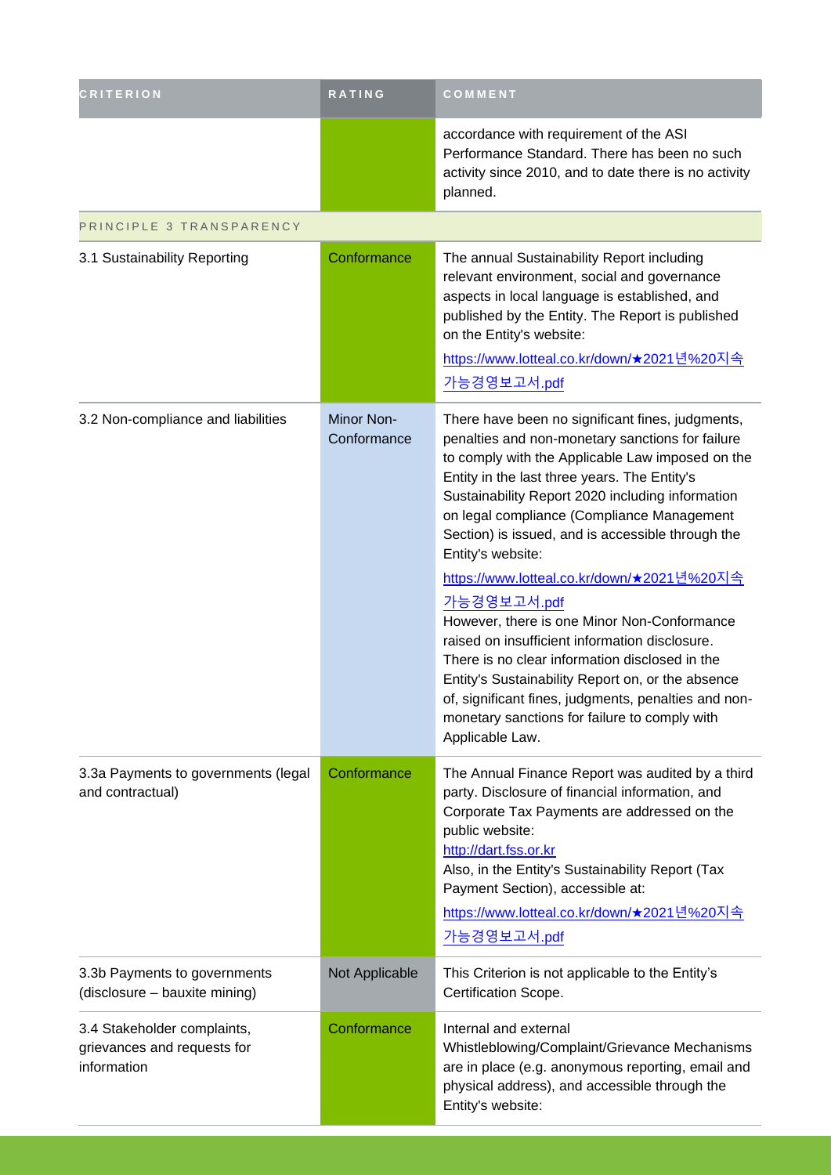| <b>CRITERION</b>                                                          | RATING                    | COMMENT                                                                                                                                                                                                                                                                                                                                                                                                                                                                                                                                                                                                                                                                                                                                                                                      |
|---------------------------------------------------------------------------|---------------------------|----------------------------------------------------------------------------------------------------------------------------------------------------------------------------------------------------------------------------------------------------------------------------------------------------------------------------------------------------------------------------------------------------------------------------------------------------------------------------------------------------------------------------------------------------------------------------------------------------------------------------------------------------------------------------------------------------------------------------------------------------------------------------------------------|
|                                                                           |                           | accordance with requirement of the ASI<br>Performance Standard. There has been no such<br>activity since 2010, and to date there is no activity<br>planned.                                                                                                                                                                                                                                                                                                                                                                                                                                                                                                                                                                                                                                  |
| PRINCIPLE 3 TRANSPARENCY                                                  |                           |                                                                                                                                                                                                                                                                                                                                                                                                                                                                                                                                                                                                                                                                                                                                                                                              |
| 3.1 Sustainability Reporting                                              | Conformance               | The annual Sustainability Report including<br>relevant environment, social and governance<br>aspects in local language is established, and<br>published by the Entity. The Report is published<br>on the Entity's website:<br><u>https://www.lotteal.co.kr/down/★2021년%20지속</u><br>가능경영보고서.pdf                                                                                                                                                                                                                                                                                                                                                                                                                                                                                               |
| 3.2 Non-compliance and liabilities                                        | Minor Non-<br>Conformance | There have been no significant fines, judgments,<br>penalties and non-monetary sanctions for failure<br>to comply with the Applicable Law imposed on the<br>Entity in the last three years. The Entity's<br>Sustainability Report 2020 including information<br>on legal compliance (Compliance Management<br>Section) is issued, and is accessible through the<br>Entity's website:<br><u>https://www.lotteal.co.kr/down/★2021년%20지속</u><br>가능경영보고서.pdf<br>However, there is one Minor Non-Conformance<br>raised on insufficient information disclosure.<br>There is no clear information disclosed in the<br>Entity's Sustainability Report on, or the absence<br>of, significant fines, judgments, penalties and non-<br>monetary sanctions for failure to comply with<br>Applicable Law. |
| 3.3a Payments to governments (legal<br>and contractual)                   | Conformance               | The Annual Finance Report was audited by a third<br>party. Disclosure of financial information, and<br>Corporate Tax Payments are addressed on the<br>public website:<br>http://dart.fss.or.kr<br>Also, in the Entity's Sustainability Report (Tax<br>Payment Section), accessible at:<br><u>https://www.lotteal.co.kr/down/★2021년%20지속</u><br>가능경영보고서.pdf                                                                                                                                                                                                                                                                                                                                                                                                                                   |
| 3.3b Payments to governments<br>(disclosure - bauxite mining)             | Not Applicable            | This Criterion is not applicable to the Entity's<br>Certification Scope.                                                                                                                                                                                                                                                                                                                                                                                                                                                                                                                                                                                                                                                                                                                     |
| 3.4 Stakeholder complaints,<br>grievances and requests for<br>information | Conformance               | Internal and external<br>Whistleblowing/Complaint/Grievance Mechanisms<br>are in place (e.g. anonymous reporting, email and<br>physical address), and accessible through the<br>Entity's website:                                                                                                                                                                                                                                                                                                                                                                                                                                                                                                                                                                                            |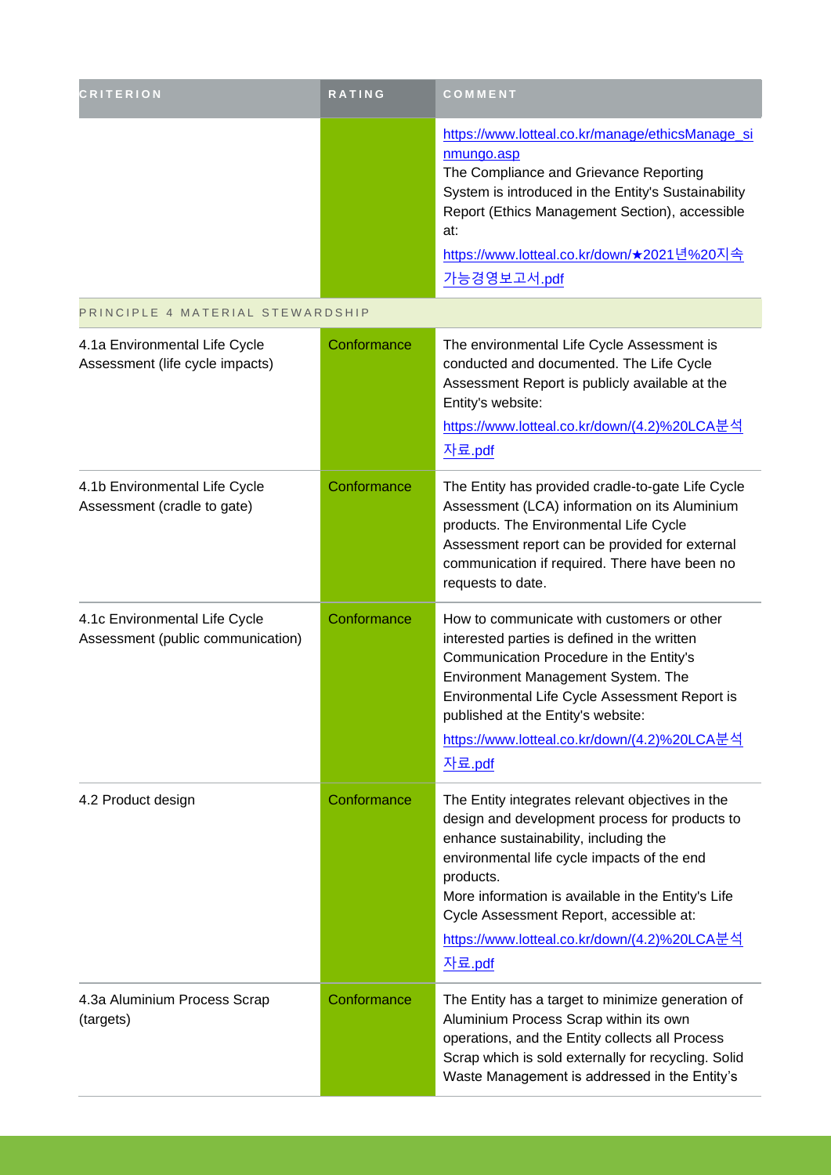| <b>CRITERION</b>                                                   | RATING      | COMMENT                                                                                                                                                                                                                                                                                                                                                            |
|--------------------------------------------------------------------|-------------|--------------------------------------------------------------------------------------------------------------------------------------------------------------------------------------------------------------------------------------------------------------------------------------------------------------------------------------------------------------------|
|                                                                    |             | https://www.lotteal.co.kr/manage/ethicsManage_si<br>nmungo.asp<br>The Compliance and Grievance Reporting<br>System is introduced in the Entity's Sustainability<br>Report (Ethics Management Section), accessible<br>at:<br>https://www.lotteal.co.kr/down/★2021년%20지속<br>가능경영보고서.pdf                                                                              |
| PRINCIPLE 4 MATERIAL STEWARDSHIP                                   |             |                                                                                                                                                                                                                                                                                                                                                                    |
| 4.1a Environmental Life Cycle<br>Assessment (life cycle impacts)   | Conformance | The environmental Life Cycle Assessment is<br>conducted and documented. The Life Cycle<br>Assessment Report is publicly available at the<br>Entity's website:<br>https://www.lotteal.co.kr/down/(4.2)%20LCA분석<br>자료.pdf                                                                                                                                            |
| 4.1b Environmental Life Cycle<br>Assessment (cradle to gate)       | Conformance | The Entity has provided cradle-to-gate Life Cycle<br>Assessment (LCA) information on its Aluminium<br>products. The Environmental Life Cycle<br>Assessment report can be provided for external<br>communication if required. There have been no<br>requests to date.                                                                                               |
| 4.1c Environmental Life Cycle<br>Assessment (public communication) | Conformance | How to communicate with customers or other<br>interested parties is defined in the written<br>Communication Procedure in the Entity's<br>Environment Management System. The<br>Environmental Life Cycle Assessment Report is<br>published at the Entity's website:<br>https://www.lotteal.co.kr/down/(4.2)%20LCA분석<br>자료.pdf                                       |
| 4.2 Product design                                                 | Conformance | The Entity integrates relevant objectives in the<br>design and development process for products to<br>enhance sustainability, including the<br>environmental life cycle impacts of the end<br>products.<br>More information is available in the Entity's Life<br>Cycle Assessment Report, accessible at:<br>https://www.lotteal.co.kr/down/(4.2)%20LCA분석<br>자료.pdf |
| 4.3a Aluminium Process Scrap<br>(targets)                          | Conformance | The Entity has a target to minimize generation of<br>Aluminium Process Scrap within its own<br>operations, and the Entity collects all Process<br>Scrap which is sold externally for recycling. Solid<br>Waste Management is addressed in the Entity's                                                                                                             |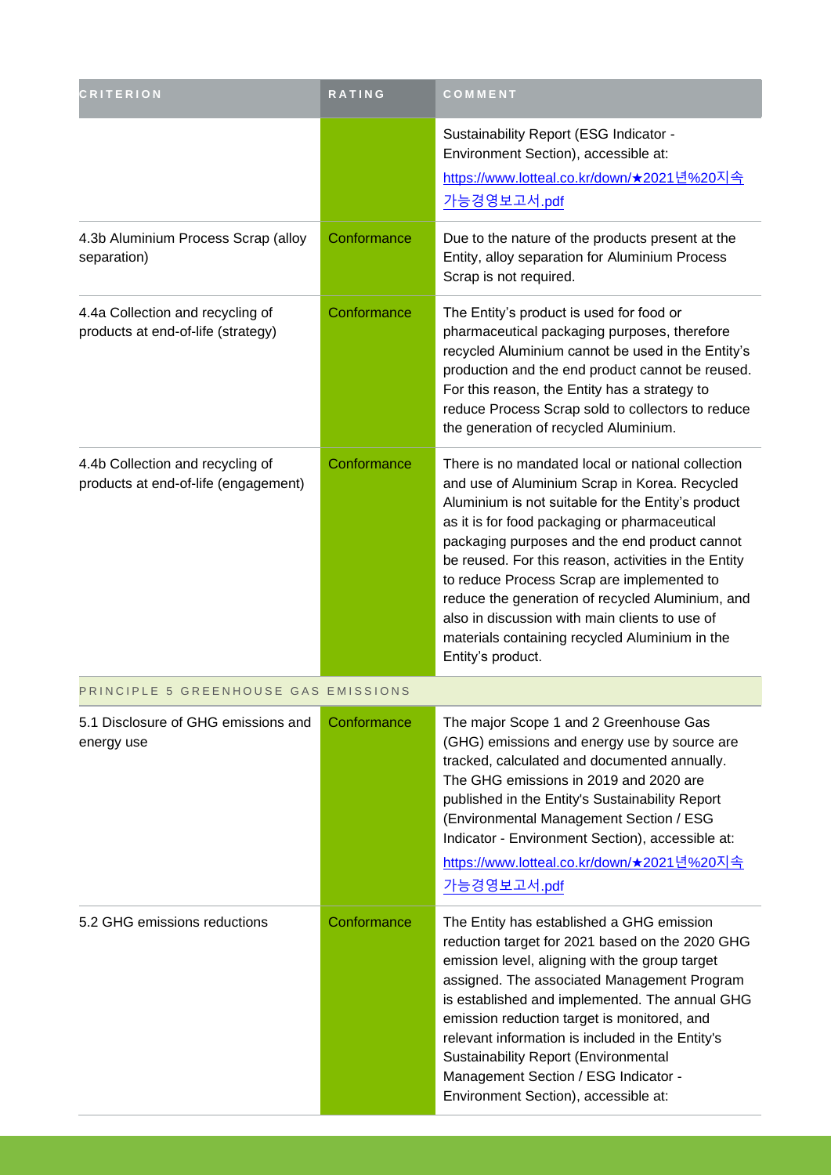| <b>CRITERION</b>                                                         | RATING      | COMMENT                                                                                                                                                                                                                                                                                                                                                                                                                                                                                                                                       |
|--------------------------------------------------------------------------|-------------|-----------------------------------------------------------------------------------------------------------------------------------------------------------------------------------------------------------------------------------------------------------------------------------------------------------------------------------------------------------------------------------------------------------------------------------------------------------------------------------------------------------------------------------------------|
|                                                                          |             | Sustainability Report (ESG Indicator -<br>Environment Section), accessible at:<br><u>https://www.lotteal.co.kr/down/★2021년%20지속</u><br>가능경영보고서.pdf                                                                                                                                                                                                                                                                                                                                                                                            |
| 4.3b Aluminium Process Scrap (alloy<br>separation)                       | Conformance | Due to the nature of the products present at the<br>Entity, alloy separation for Aluminium Process<br>Scrap is not required.                                                                                                                                                                                                                                                                                                                                                                                                                  |
| 4.4a Collection and recycling of<br>products at end-of-life (strategy)   | Conformance | The Entity's product is used for food or<br>pharmaceutical packaging purposes, therefore<br>recycled Aluminium cannot be used in the Entity's<br>production and the end product cannot be reused.<br>For this reason, the Entity has a strategy to<br>reduce Process Scrap sold to collectors to reduce<br>the generation of recycled Aluminium.                                                                                                                                                                                              |
| 4.4b Collection and recycling of<br>products at end-of-life (engagement) | Conformance | There is no mandated local or national collection<br>and use of Aluminium Scrap in Korea. Recycled<br>Aluminium is not suitable for the Entity's product<br>as it is for food packaging or pharmaceutical<br>packaging purposes and the end product cannot<br>be reused. For this reason, activities in the Entity<br>to reduce Process Scrap are implemented to<br>reduce the generation of recycled Aluminium, and<br>also in discussion with main clients to use of<br>materials containing recycled Aluminium in the<br>Entity's product. |
| PRINCIPLE 5 GREENHOUSE GAS EMISSIONS                                     |             |                                                                                                                                                                                                                                                                                                                                                                                                                                                                                                                                               |
| 5.1 Disclosure of GHG emissions and<br>energy use                        | Conformance | The major Scope 1 and 2 Greenhouse Gas<br>(GHG) emissions and energy use by source are<br>tracked, calculated and documented annually.<br>The GHG emissions in 2019 and 2020 are<br>published in the Entity's Sustainability Report<br>(Environmental Management Section / ESG<br>Indicator - Environment Section), accessible at:<br><u>https://www.lotteal.co.kr/down/★2021년%20지속</u>                                                                                                                                                       |
|                                                                          |             | 가능경영보고서.pdf                                                                                                                                                                                                                                                                                                                                                                                                                                                                                                                                   |
| 5.2 GHG emissions reductions                                             | Conformance | The Entity has established a GHG emission<br>reduction target for 2021 based on the 2020 GHG<br>emission level, aligning with the group target<br>assigned. The associated Management Program<br>is established and implemented. The annual GHG<br>emission reduction target is monitored, and<br>relevant information is included in the Entity's<br><b>Sustainability Report (Environmental</b><br>Management Section / ESG Indicator -<br>Environment Section), accessible at:                                                             |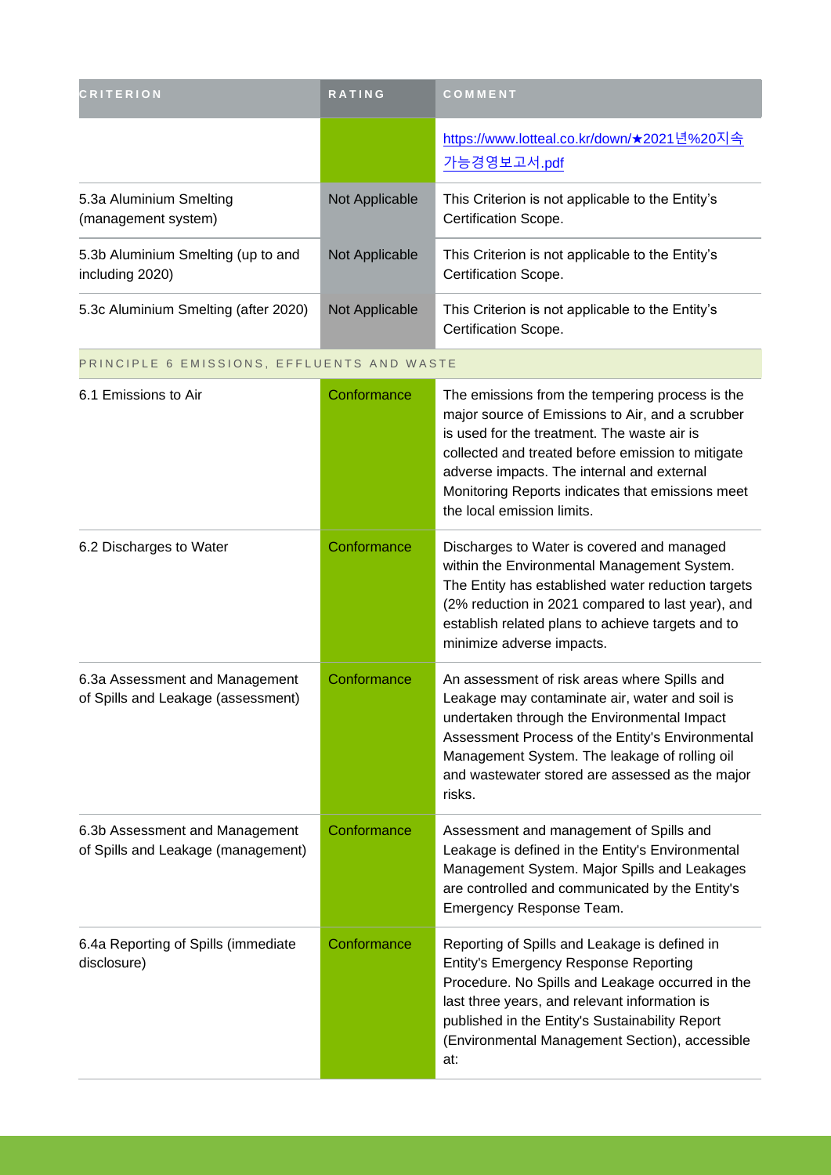| <b>CRITERION</b>                                                     | RATING         | COMMENT                                                                                                                                                                                                                                                                                                                                 |
|----------------------------------------------------------------------|----------------|-----------------------------------------------------------------------------------------------------------------------------------------------------------------------------------------------------------------------------------------------------------------------------------------------------------------------------------------|
|                                                                      |                | https://www.lotteal.co.kr/down/★2021년%20지속<br>가능경영보고서.pdf                                                                                                                                                                                                                                                                               |
| 5.3a Aluminium Smelting<br>(management system)                       | Not Applicable | This Criterion is not applicable to the Entity's<br>Certification Scope.                                                                                                                                                                                                                                                                |
| 5.3b Aluminium Smelting (up to and<br>including 2020)                | Not Applicable | This Criterion is not applicable to the Entity's<br>Certification Scope.                                                                                                                                                                                                                                                                |
| 5.3c Aluminium Smelting (after 2020)                                 | Not Applicable | This Criterion is not applicable to the Entity's<br>Certification Scope.                                                                                                                                                                                                                                                                |
| PRINCIPLE 6 EMISSIONS, EFFLUENTS AND WASTE                           |                |                                                                                                                                                                                                                                                                                                                                         |
| 6.1 Emissions to Air                                                 | Conformance    | The emissions from the tempering process is the<br>major source of Emissions to Air, and a scrubber<br>is used for the treatment. The waste air is<br>collected and treated before emission to mitigate<br>adverse impacts. The internal and external<br>Monitoring Reports indicates that emissions meet<br>the local emission limits. |
| 6.2 Discharges to Water                                              | Conformance    | Discharges to Water is covered and managed<br>within the Environmental Management System.<br>The Entity has established water reduction targets<br>(2% reduction in 2021 compared to last year), and<br>establish related plans to achieve targets and to<br>minimize adverse impacts.                                                  |
| 6.3a Assessment and Management<br>of Spills and Leakage (assessment) | Conformance    | An assessment of risk areas where Spills and<br>Leakage may contaminate air, water and soil is<br>undertaken through the Environmental Impact<br>Assessment Process of the Entity's Environmental<br>Management System. The leakage of rolling oil<br>and wastewater stored are assessed as the major<br>risks.                         |
| 6.3b Assessment and Management<br>of Spills and Leakage (management) | Conformance    | Assessment and management of Spills and<br>Leakage is defined in the Entity's Environmental<br>Management System. Major Spills and Leakages<br>are controlled and communicated by the Entity's<br>Emergency Response Team.                                                                                                              |
| 6.4a Reporting of Spills (immediate<br>disclosure)                   | Conformance    | Reporting of Spills and Leakage is defined in<br><b>Entity's Emergency Response Reporting</b><br>Procedure. No Spills and Leakage occurred in the<br>last three years, and relevant information is<br>published in the Entity's Sustainability Report<br>(Environmental Management Section), accessible<br>at:                          |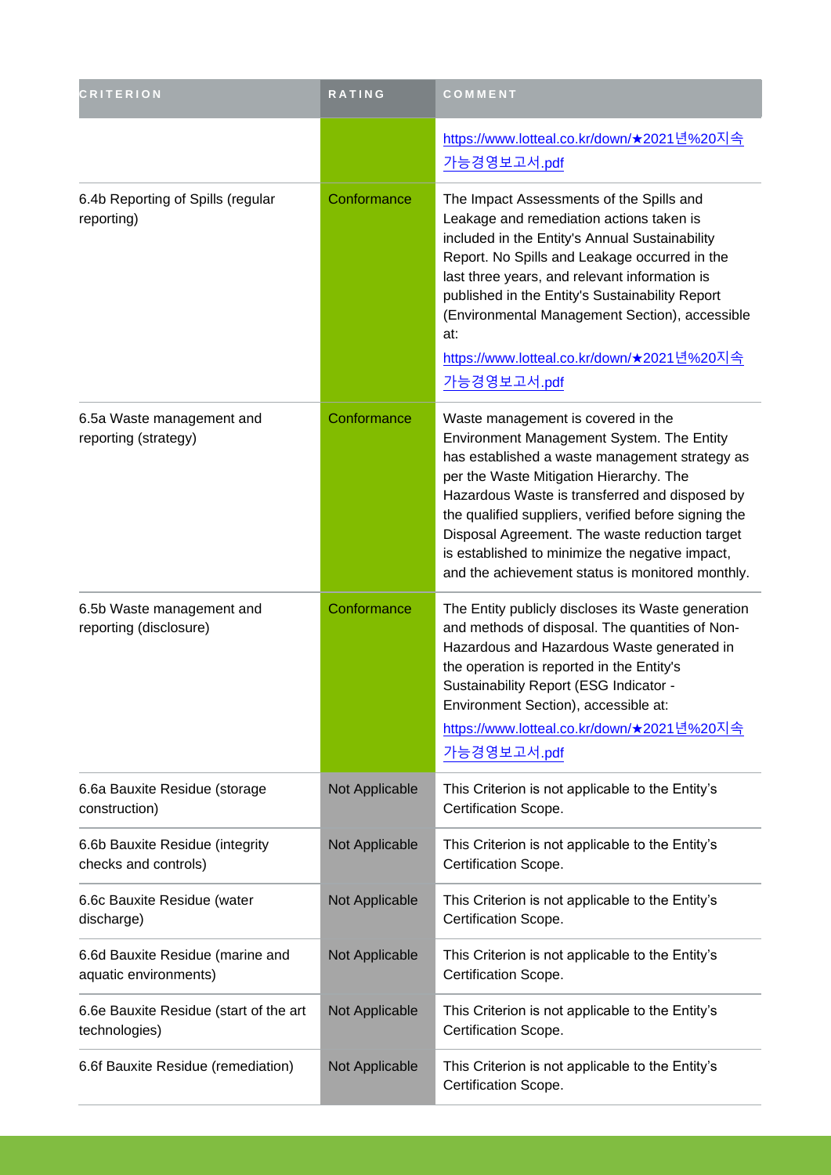| <b>CRITERION</b>                                          | RATING         | COMMENT                                                                                                                                                                                                                                                                                                                                                                                                                                         |
|-----------------------------------------------------------|----------------|-------------------------------------------------------------------------------------------------------------------------------------------------------------------------------------------------------------------------------------------------------------------------------------------------------------------------------------------------------------------------------------------------------------------------------------------------|
|                                                           |                | <u>https://www.lotteal.co.kr/down/★2021년%20지속</u><br>가능경영보고서.pdf                                                                                                                                                                                                                                                                                                                                                                                |
| 6.4b Reporting of Spills (regular<br>reporting)           | Conformance    | The Impact Assessments of the Spills and<br>Leakage and remediation actions taken is<br>included in the Entity's Annual Sustainability<br>Report. No Spills and Leakage occurred in the<br>last three years, and relevant information is<br>published in the Entity's Sustainability Report<br>(Environmental Management Section), accessible<br>at:<br><u>https://www.lotteal.co.kr/down/★2021년%20지속</u><br>가능경영보고서.pdf                        |
| 6.5a Waste management and<br>reporting (strategy)         | Conformance    | Waste management is covered in the<br>Environment Management System. The Entity<br>has established a waste management strategy as<br>per the Waste Mitigation Hierarchy. The<br>Hazardous Waste is transferred and disposed by<br>the qualified suppliers, verified before signing the<br>Disposal Agreement. The waste reduction target<br>is established to minimize the negative impact,<br>and the achievement status is monitored monthly. |
| 6.5b Waste management and<br>reporting (disclosure)       | Conformance    | The Entity publicly discloses its Waste generation<br>and methods of disposal. The quantities of Non-<br>Hazardous and Hazardous Waste generated in<br>the operation is reported in the Entity's<br>Sustainability Report (ESG Indicator -<br>Environment Section), accessible at:<br><u>https://www.lotteal.co.kr/down/★2021년%20지속</u><br>가능경영보고서.pdf                                                                                          |
| 6.6a Bauxite Residue (storage<br>construction)            | Not Applicable | This Criterion is not applicable to the Entity's<br>Certification Scope.                                                                                                                                                                                                                                                                                                                                                                        |
| 6.6b Bauxite Residue (integrity<br>checks and controls)   | Not Applicable | This Criterion is not applicable to the Entity's<br>Certification Scope.                                                                                                                                                                                                                                                                                                                                                                        |
| 6.6c Bauxite Residue (water<br>discharge)                 | Not Applicable | This Criterion is not applicable to the Entity's<br>Certification Scope.                                                                                                                                                                                                                                                                                                                                                                        |
| 6.6d Bauxite Residue (marine and<br>aquatic environments) | Not Applicable | This Criterion is not applicable to the Entity's<br>Certification Scope.                                                                                                                                                                                                                                                                                                                                                                        |
| 6.6e Bauxite Residue (start of the art<br>technologies)   | Not Applicable | This Criterion is not applicable to the Entity's<br>Certification Scope.                                                                                                                                                                                                                                                                                                                                                                        |
| 6.6f Bauxite Residue (remediation)                        | Not Applicable | This Criterion is not applicable to the Entity's<br>Certification Scope.                                                                                                                                                                                                                                                                                                                                                                        |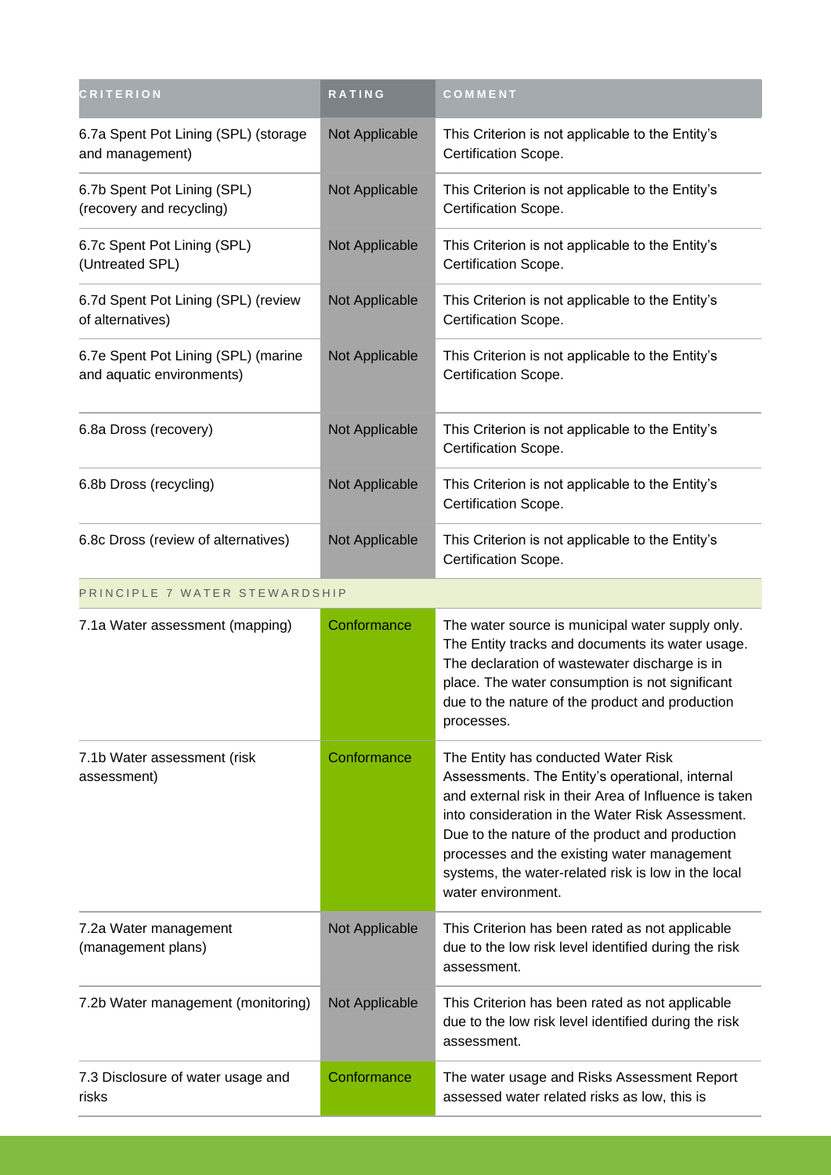| <b>CRITERION</b>                                                 | RATING         | COMMENT                                                                                                                                                                                                                                                                                                                                                                            |
|------------------------------------------------------------------|----------------|------------------------------------------------------------------------------------------------------------------------------------------------------------------------------------------------------------------------------------------------------------------------------------------------------------------------------------------------------------------------------------|
| 6.7a Spent Pot Lining (SPL) (storage<br>and management)          | Not Applicable | This Criterion is not applicable to the Entity's<br>Certification Scope.                                                                                                                                                                                                                                                                                                           |
| 6.7b Spent Pot Lining (SPL)<br>(recovery and recycling)          | Not Applicable | This Criterion is not applicable to the Entity's<br>Certification Scope.                                                                                                                                                                                                                                                                                                           |
| 6.7c Spent Pot Lining (SPL)<br>(Untreated SPL)                   | Not Applicable | This Criterion is not applicable to the Entity's<br>Certification Scope.                                                                                                                                                                                                                                                                                                           |
| 6.7d Spent Pot Lining (SPL) (review<br>of alternatives)          | Not Applicable | This Criterion is not applicable to the Entity's<br>Certification Scope.                                                                                                                                                                                                                                                                                                           |
| 6.7e Spent Pot Lining (SPL) (marine<br>and aquatic environments) | Not Applicable | This Criterion is not applicable to the Entity's<br>Certification Scope.                                                                                                                                                                                                                                                                                                           |
| 6.8a Dross (recovery)                                            | Not Applicable | This Criterion is not applicable to the Entity's<br>Certification Scope.                                                                                                                                                                                                                                                                                                           |
| 6.8b Dross (recycling)                                           | Not Applicable | This Criterion is not applicable to the Entity's<br>Certification Scope.                                                                                                                                                                                                                                                                                                           |
| 6.8c Dross (review of alternatives)                              | Not Applicable | This Criterion is not applicable to the Entity's<br>Certification Scope.                                                                                                                                                                                                                                                                                                           |
| PRINCIPLE 7 WATER STEWARDSHIP                                    |                |                                                                                                                                                                                                                                                                                                                                                                                    |
| 7.1a Water assessment (mapping)                                  | Conformance    | The water source is municipal water supply only.<br>The Entity tracks and documents its water usage.<br>The declaration of wastewater discharge is in<br>place. The water consumption is not significant<br>due to the nature of the product and production<br>processes.                                                                                                          |
| 7.1b Water assessment (risk<br>assessment)                       | Conformance    | The Entity has conducted Water Risk<br>Assessments. The Entity's operational, internal<br>and external risk in their Area of Influence is taken<br>into consideration in the Water Risk Assessment.<br>Due to the nature of the product and production<br>processes and the existing water management<br>systems, the water-related risk is low in the local<br>water environment. |
| 7.2a Water management<br>(management plans)                      | Not Applicable | This Criterion has been rated as not applicable<br>due to the low risk level identified during the risk<br>assessment.                                                                                                                                                                                                                                                             |
| 7.2b Water management (monitoring)                               | Not Applicable | This Criterion has been rated as not applicable<br>due to the low risk level identified during the risk<br>assessment.                                                                                                                                                                                                                                                             |
| 7.3 Disclosure of water usage and<br>risks                       | Conformance    | The water usage and Risks Assessment Report<br>assessed water related risks as low, this is                                                                                                                                                                                                                                                                                        |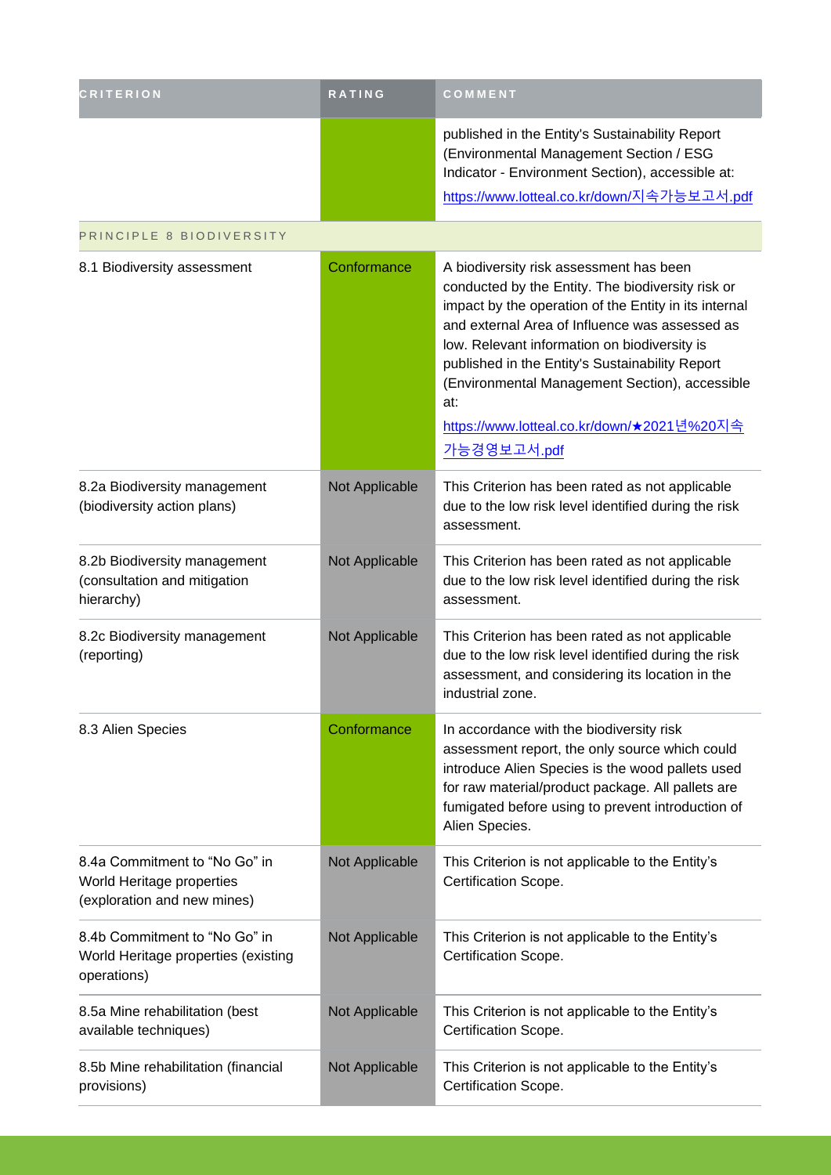| <b>CRITERION</b>                                                                          | <b>RATING</b>  | COMMENT                                                                                                                                                                                                                                                                                                                                                                                                                          |
|-------------------------------------------------------------------------------------------|----------------|----------------------------------------------------------------------------------------------------------------------------------------------------------------------------------------------------------------------------------------------------------------------------------------------------------------------------------------------------------------------------------------------------------------------------------|
|                                                                                           |                | published in the Entity's Sustainability Report<br>(Environmental Management Section / ESG<br>Indicator - Environment Section), accessible at:<br>https://www.lotteal.co.kr/down/지속가능보고서.pdf                                                                                                                                                                                                                                     |
| PRINCIPLE 8 BIODIVERSITY                                                                  |                |                                                                                                                                                                                                                                                                                                                                                                                                                                  |
| 8.1 Biodiversity assessment                                                               | Conformance    | A biodiversity risk assessment has been<br>conducted by the Entity. The biodiversity risk or<br>impact by the operation of the Entity in its internal<br>and external Area of Influence was assessed as<br>low. Relevant information on biodiversity is<br>published in the Entity's Sustainability Report<br>(Environmental Management Section), accessible<br>at:<br>https://www.lotteal.co.kr/down/★2021년%20지속<br>가능경영보고서.pdf |
| 8.2a Biodiversity management<br>(biodiversity action plans)                               | Not Applicable | This Criterion has been rated as not applicable<br>due to the low risk level identified during the risk<br>assessment.                                                                                                                                                                                                                                                                                                           |
| 8.2b Biodiversity management<br>(consultation and mitigation<br>hierarchy)                | Not Applicable | This Criterion has been rated as not applicable<br>due to the low risk level identified during the risk<br>assessment.                                                                                                                                                                                                                                                                                                           |
| 8.2c Biodiversity management<br>(reporting)                                               | Not Applicable | This Criterion has been rated as not applicable<br>due to the low risk level identified during the risk<br>assessment, and considering its location in the<br>industrial zone.                                                                                                                                                                                                                                                   |
| 8.3 Alien Species                                                                         | Conformance    | In accordance with the biodiversity risk<br>assessment report, the only source which could<br>introduce Alien Species is the wood pallets used<br>for raw material/product package. All pallets are<br>fumigated before using to prevent introduction of<br>Alien Species.                                                                                                                                                       |
| 8.4a Commitment to "No Go" in<br>World Heritage properties<br>(exploration and new mines) | Not Applicable | This Criterion is not applicable to the Entity's<br>Certification Scope.                                                                                                                                                                                                                                                                                                                                                         |
| 8.4b Commitment to "No Go" in<br>World Heritage properties (existing<br>operations)       | Not Applicable | This Criterion is not applicable to the Entity's<br>Certification Scope.                                                                                                                                                                                                                                                                                                                                                         |
| 8.5a Mine rehabilitation (best<br>available techniques)                                   | Not Applicable | This Criterion is not applicable to the Entity's<br>Certification Scope.                                                                                                                                                                                                                                                                                                                                                         |
| 8.5b Mine rehabilitation (financial<br>provisions)                                        | Not Applicable | This Criterion is not applicable to the Entity's<br>Certification Scope.                                                                                                                                                                                                                                                                                                                                                         |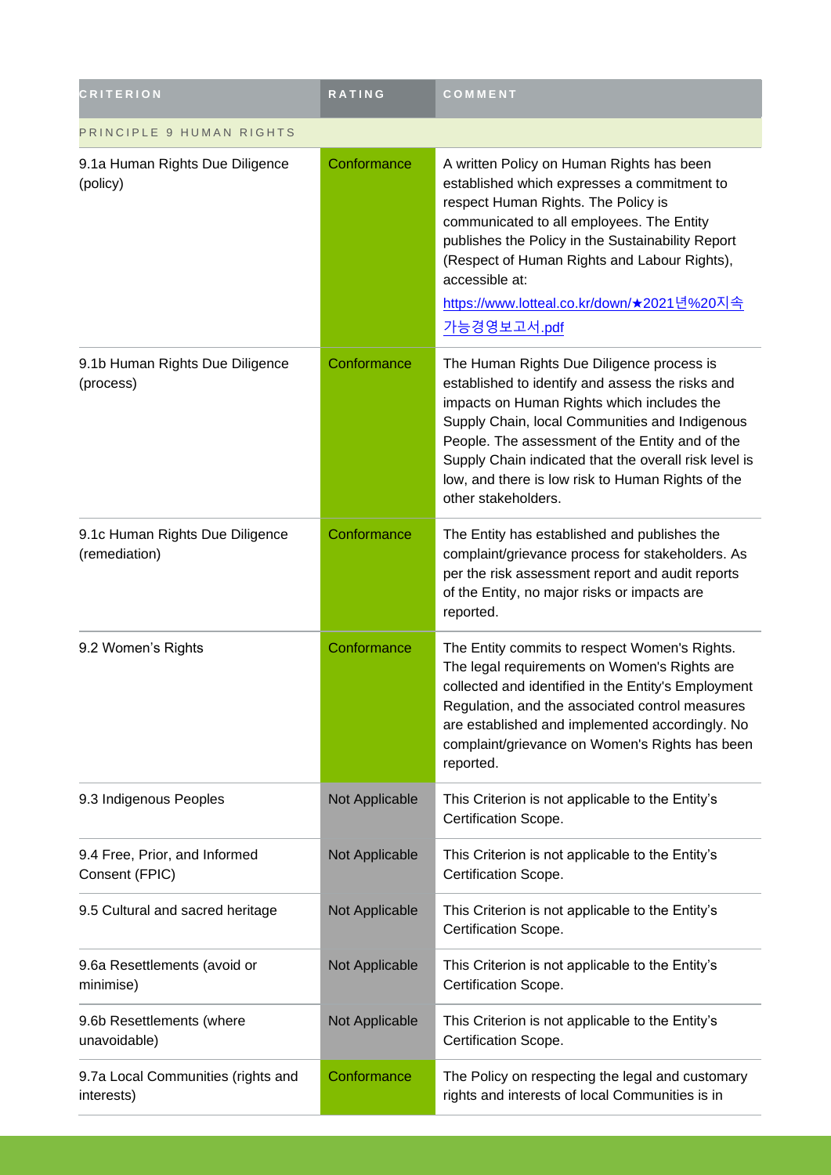| <b>CRITERION</b>                                 | RATING         | COMMENT                                                                                                                                                                                                                                                                                                                                                                               |
|--------------------------------------------------|----------------|---------------------------------------------------------------------------------------------------------------------------------------------------------------------------------------------------------------------------------------------------------------------------------------------------------------------------------------------------------------------------------------|
| PRINCIPLE 9 HUMAN RIGHTS                         |                |                                                                                                                                                                                                                                                                                                                                                                                       |
| 9.1a Human Rights Due Diligence<br>(policy)      | Conformance    | A written Policy on Human Rights has been<br>established which expresses a commitment to<br>respect Human Rights. The Policy is<br>communicated to all employees. The Entity<br>publishes the Policy in the Sustainability Report<br>(Respect of Human Rights and Labour Rights),<br>accessible at:<br><u>https://www.lotteal.co.kr/down/★2021년%20지속</u><br>가능경영보고서.pdf               |
| 9.1b Human Rights Due Diligence<br>(process)     | Conformance    | The Human Rights Due Diligence process is<br>established to identify and assess the risks and<br>impacts on Human Rights which includes the<br>Supply Chain, local Communities and Indigenous<br>People. The assessment of the Entity and of the<br>Supply Chain indicated that the overall risk level is<br>low, and there is low risk to Human Rights of the<br>other stakeholders. |
| 9.1c Human Rights Due Diligence<br>(remediation) | Conformance    | The Entity has established and publishes the<br>complaint/grievance process for stakeholders. As<br>per the risk assessment report and audit reports<br>of the Entity, no major risks or impacts are<br>reported.                                                                                                                                                                     |
| 9.2 Women's Rights                               | Conformance    | The Entity commits to respect Women's Rights.<br>The legal requirements on Women's Rights are<br>collected and identified in the Entity's Employment<br>Regulation, and the associated control measures<br>are established and implemented accordingly. No<br>complaint/grievance on Women's Rights has been<br>reported.                                                             |
| 9.3 Indigenous Peoples                           | Not Applicable | This Criterion is not applicable to the Entity's<br>Certification Scope.                                                                                                                                                                                                                                                                                                              |
| 9.4 Free, Prior, and Informed<br>Consent (FPIC)  | Not Applicable | This Criterion is not applicable to the Entity's<br>Certification Scope.                                                                                                                                                                                                                                                                                                              |
| 9.5 Cultural and sacred heritage                 | Not Applicable | This Criterion is not applicable to the Entity's<br>Certification Scope.                                                                                                                                                                                                                                                                                                              |
| 9.6a Resettlements (avoid or<br>minimise)        | Not Applicable | This Criterion is not applicable to the Entity's<br>Certification Scope.                                                                                                                                                                                                                                                                                                              |
| 9.6b Resettlements (where<br>unavoidable)        | Not Applicable | This Criterion is not applicable to the Entity's<br>Certification Scope.                                                                                                                                                                                                                                                                                                              |
| 9.7a Local Communities (rights and<br>interests) | Conformance    | The Policy on respecting the legal and customary<br>rights and interests of local Communities is in                                                                                                                                                                                                                                                                                   |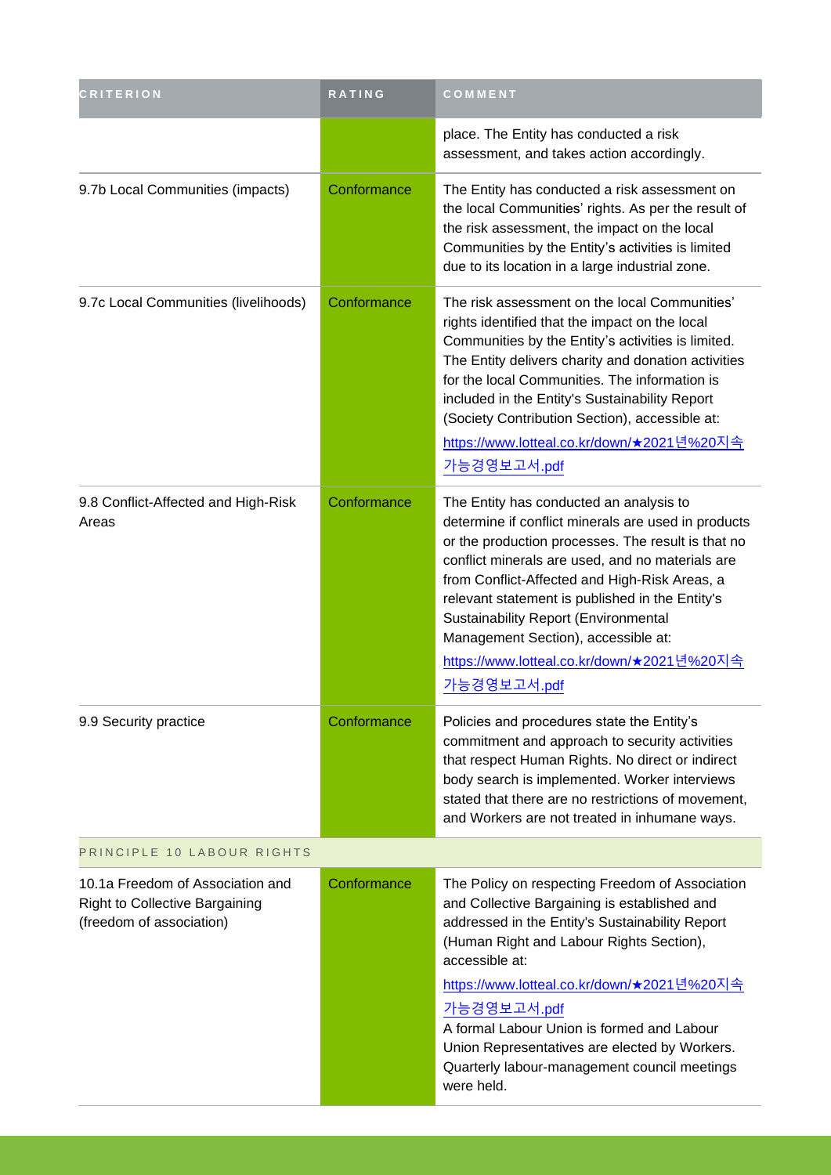| <b>CRITERION</b>                                                                                      | RATING      | COMMENT                                                                                                                                                                                                                                                                                                                                                                                                                                                         |
|-------------------------------------------------------------------------------------------------------|-------------|-----------------------------------------------------------------------------------------------------------------------------------------------------------------------------------------------------------------------------------------------------------------------------------------------------------------------------------------------------------------------------------------------------------------------------------------------------------------|
|                                                                                                       |             | place. The Entity has conducted a risk<br>assessment, and takes action accordingly.                                                                                                                                                                                                                                                                                                                                                                             |
| 9.7b Local Communities (impacts)                                                                      | Conformance | The Entity has conducted a risk assessment on<br>the local Communities' rights. As per the result of<br>the risk assessment, the impact on the local<br>Communities by the Entity's activities is limited<br>due to its location in a large industrial zone.                                                                                                                                                                                                    |
| 9.7c Local Communities (livelihoods)                                                                  | Conformance | The risk assessment on the local Communities'<br>rights identified that the impact on the local<br>Communities by the Entity's activities is limited.<br>The Entity delivers charity and donation activities<br>for the local Communities. The information is<br>included in the Entity's Sustainability Report<br>(Society Contribution Section), accessible at:<br>https://www.lotteal.co.kr/down/★2021년%20지속<br>가능경영보고서.pdf                                  |
| 9.8 Conflict-Affected and High-Risk<br>Areas                                                          | Conformance | The Entity has conducted an analysis to<br>determine if conflict minerals are used in products<br>or the production processes. The result is that no<br>conflict minerals are used, and no materials are<br>from Conflict-Affected and High-Risk Areas, a<br>relevant statement is published in the Entity's<br><b>Sustainability Report (Environmental</b><br>Management Section), accessible at:<br>https://www.lotteal.co.kr/down/★2021년%20지속<br>가능경영보고서.pdf |
| 9.9 Security practice                                                                                 | Conformance | Policies and procedures state the Entity's<br>commitment and approach to security activities<br>that respect Human Rights. No direct or indirect<br>body search is implemented. Worker interviews<br>stated that there are no restrictions of movement,<br>and Workers are not treated in inhumane ways.                                                                                                                                                        |
| PRINCIPLE 10 LABOUR RIGHTS                                                                            |             |                                                                                                                                                                                                                                                                                                                                                                                                                                                                 |
| 10.1a Freedom of Association and<br><b>Right to Collective Bargaining</b><br>(freedom of association) | Conformance | The Policy on respecting Freedom of Association<br>and Collective Bargaining is established and<br>addressed in the Entity's Sustainability Report<br>(Human Right and Labour Rights Section),<br>accessible at:<br><u>https://www.lotteal.co.kr/down/★2021년%20지속</u><br>가능경영보고서.pdf<br>A formal Labour Union is formed and Labour<br>Union Representatives are elected by Workers.<br>Quarterly labour-management council meetings<br>were held.               |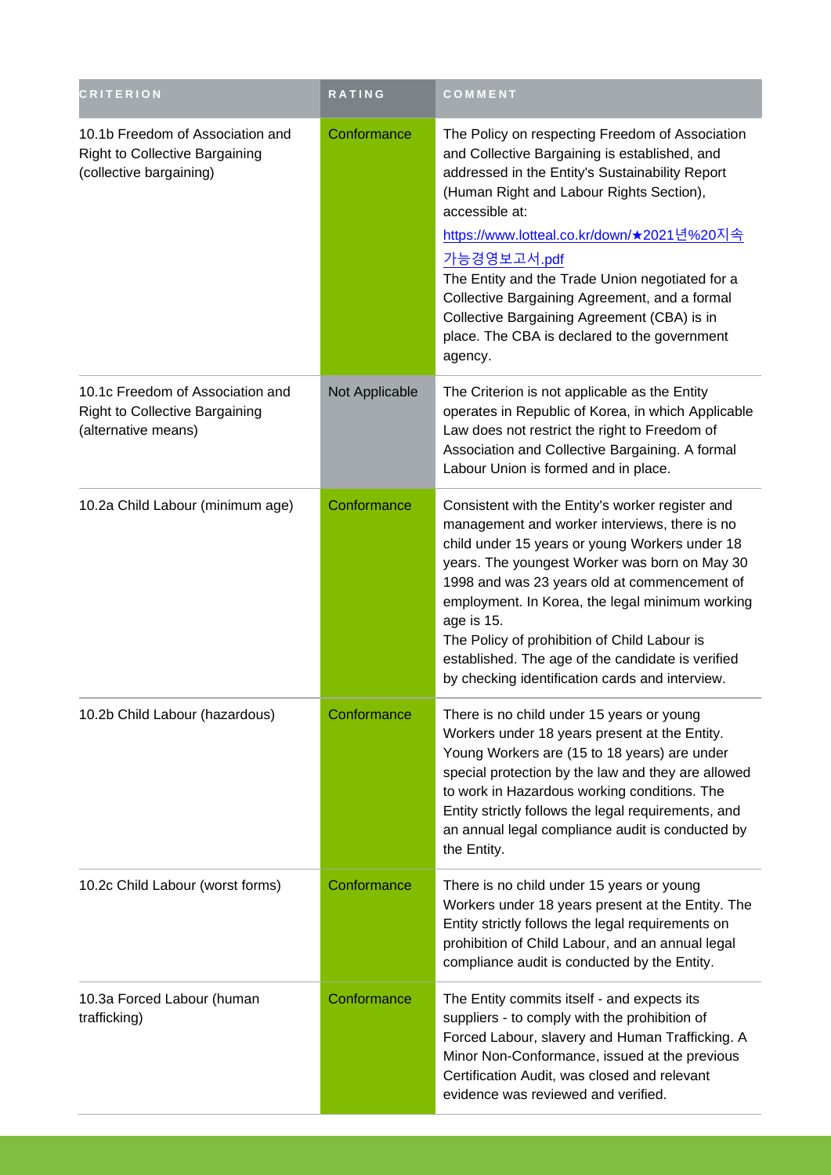| <b>CRITERION</b>                                                                                     | RATING         | COMMENT                                                                                                                                                                                                                                                                                                                                                                                                                                                                                      |
|------------------------------------------------------------------------------------------------------|----------------|----------------------------------------------------------------------------------------------------------------------------------------------------------------------------------------------------------------------------------------------------------------------------------------------------------------------------------------------------------------------------------------------------------------------------------------------------------------------------------------------|
| 10.1b Freedom of Association and<br><b>Right to Collective Bargaining</b><br>(collective bargaining) | Conformance    | The Policy on respecting Freedom of Association<br>and Collective Bargaining is established, and<br>addressed in the Entity's Sustainability Report<br>(Human Right and Labour Rights Section),<br>accessible at:<br>https://www.lotteal.co.kr/down/★2021년%20지속<br>가능경영보고서.pdf<br>The Entity and the Trade Union negotiated for a<br>Collective Bargaining Agreement, and a formal<br>Collective Bargaining Agreement (CBA) is in<br>place. The CBA is declared to the government<br>agency. |
| 10.1c Freedom of Association and<br><b>Right to Collective Bargaining</b><br>(alternative means)     | Not Applicable | The Criterion is not applicable as the Entity<br>operates in Republic of Korea, in which Applicable<br>Law does not restrict the right to Freedom of<br>Association and Collective Bargaining. A formal<br>Labour Union is formed and in place.                                                                                                                                                                                                                                              |
| 10.2a Child Labour (minimum age)                                                                     | Conformance    | Consistent with the Entity's worker register and<br>management and worker interviews, there is no<br>child under 15 years or young Workers under 18<br>years. The youngest Worker was born on May 30<br>1998 and was 23 years old at commencement of<br>employment. In Korea, the legal minimum working<br>age is 15.<br>The Policy of prohibition of Child Labour is<br>established. The age of the candidate is verified<br>by checking identification cards and interview.                |
| 10.2b Child Labour (hazardous)                                                                       | Conformance    | There is no child under 15 years or young<br>Workers under 18 years present at the Entity.<br>Young Workers are (15 to 18 years) are under<br>special protection by the law and they are allowed<br>to work in Hazardous working conditions. The<br>Entity strictly follows the legal requirements, and<br>an annual legal compliance audit is conducted by<br>the Entity.                                                                                                                   |
| 10.2c Child Labour (worst forms)                                                                     | Conformance    | There is no child under 15 years or young<br>Workers under 18 years present at the Entity. The<br>Entity strictly follows the legal requirements on<br>prohibition of Child Labour, and an annual legal<br>compliance audit is conducted by the Entity.                                                                                                                                                                                                                                      |
| 10.3a Forced Labour (human<br>trafficking)                                                           | Conformance    | The Entity commits itself - and expects its<br>suppliers - to comply with the prohibition of<br>Forced Labour, slavery and Human Trafficking. A<br>Minor Non-Conformance, issued at the previous<br>Certification Audit, was closed and relevant<br>evidence was reviewed and verified.                                                                                                                                                                                                      |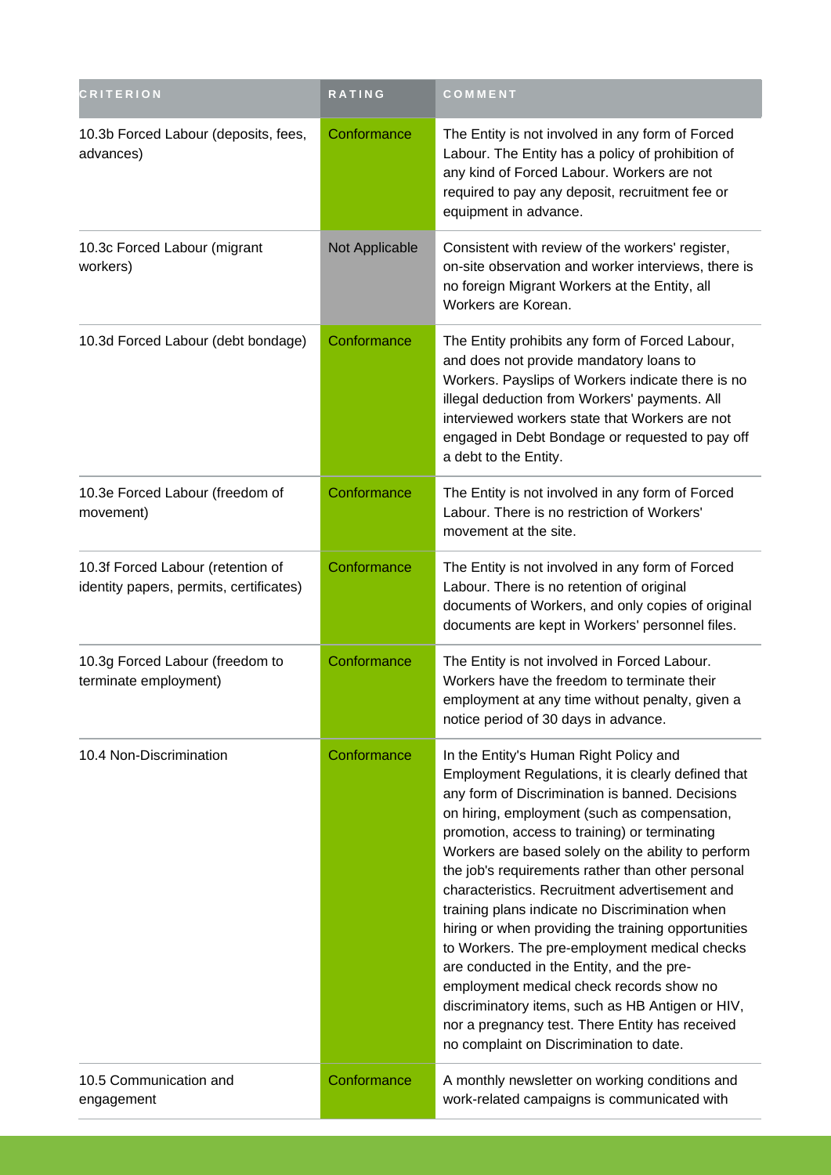| <b>CRITERION</b>                                                             | RATING         | COMMENT                                                                                                                                                                                                                                                                                                                                                                                                                                                                                                                                                                                                                                                                                                                                                                                                            |
|------------------------------------------------------------------------------|----------------|--------------------------------------------------------------------------------------------------------------------------------------------------------------------------------------------------------------------------------------------------------------------------------------------------------------------------------------------------------------------------------------------------------------------------------------------------------------------------------------------------------------------------------------------------------------------------------------------------------------------------------------------------------------------------------------------------------------------------------------------------------------------------------------------------------------------|
| 10.3b Forced Labour (deposits, fees,<br>advances)                            | Conformance    | The Entity is not involved in any form of Forced<br>Labour. The Entity has a policy of prohibition of<br>any kind of Forced Labour. Workers are not<br>required to pay any deposit, recruitment fee or<br>equipment in advance.                                                                                                                                                                                                                                                                                                                                                                                                                                                                                                                                                                                    |
| 10.3c Forced Labour (migrant<br>workers)                                     | Not Applicable | Consistent with review of the workers' register,<br>on-site observation and worker interviews, there is<br>no foreign Migrant Workers at the Entity, all<br>Workers are Korean.                                                                                                                                                                                                                                                                                                                                                                                                                                                                                                                                                                                                                                    |
| 10.3d Forced Labour (debt bondage)                                           | Conformance    | The Entity prohibits any form of Forced Labour,<br>and does not provide mandatory loans to<br>Workers. Payslips of Workers indicate there is no<br>illegal deduction from Workers' payments. All<br>interviewed workers state that Workers are not<br>engaged in Debt Bondage or requested to pay off<br>a debt to the Entity.                                                                                                                                                                                                                                                                                                                                                                                                                                                                                     |
| 10.3e Forced Labour (freedom of<br>movement)                                 | Conformance    | The Entity is not involved in any form of Forced<br>Labour. There is no restriction of Workers'<br>movement at the site.                                                                                                                                                                                                                                                                                                                                                                                                                                                                                                                                                                                                                                                                                           |
| 10.3f Forced Labour (retention of<br>identity papers, permits, certificates) | Conformance    | The Entity is not involved in any form of Forced<br>Labour. There is no retention of original<br>documents of Workers, and only copies of original<br>documents are kept in Workers' personnel files.                                                                                                                                                                                                                                                                                                                                                                                                                                                                                                                                                                                                              |
| 10.3g Forced Labour (freedom to<br>terminate employment)                     | Conformance    | The Entity is not involved in Forced Labour.<br>Workers have the freedom to terminate their<br>employment at any time without penalty, given a<br>notice period of 30 days in advance.                                                                                                                                                                                                                                                                                                                                                                                                                                                                                                                                                                                                                             |
| 10.4 Non-Discrimination                                                      | Conformance    | In the Entity's Human Right Policy and<br>Employment Regulations, it is clearly defined that<br>any form of Discrimination is banned. Decisions<br>on hiring, employment (such as compensation,<br>promotion, access to training) or terminating<br>Workers are based solely on the ability to perform<br>the job's requirements rather than other personal<br>characteristics. Recruitment advertisement and<br>training plans indicate no Discrimination when<br>hiring or when providing the training opportunities<br>to Workers. The pre-employment medical checks<br>are conducted in the Entity, and the pre-<br>employment medical check records show no<br>discriminatory items, such as HB Antigen or HIV,<br>nor a pregnancy test. There Entity has received<br>no complaint on Discrimination to date. |
| 10.5 Communication and<br>engagement                                         | Conformance    | A monthly newsletter on working conditions and<br>work-related campaigns is communicated with                                                                                                                                                                                                                                                                                                                                                                                                                                                                                                                                                                                                                                                                                                                      |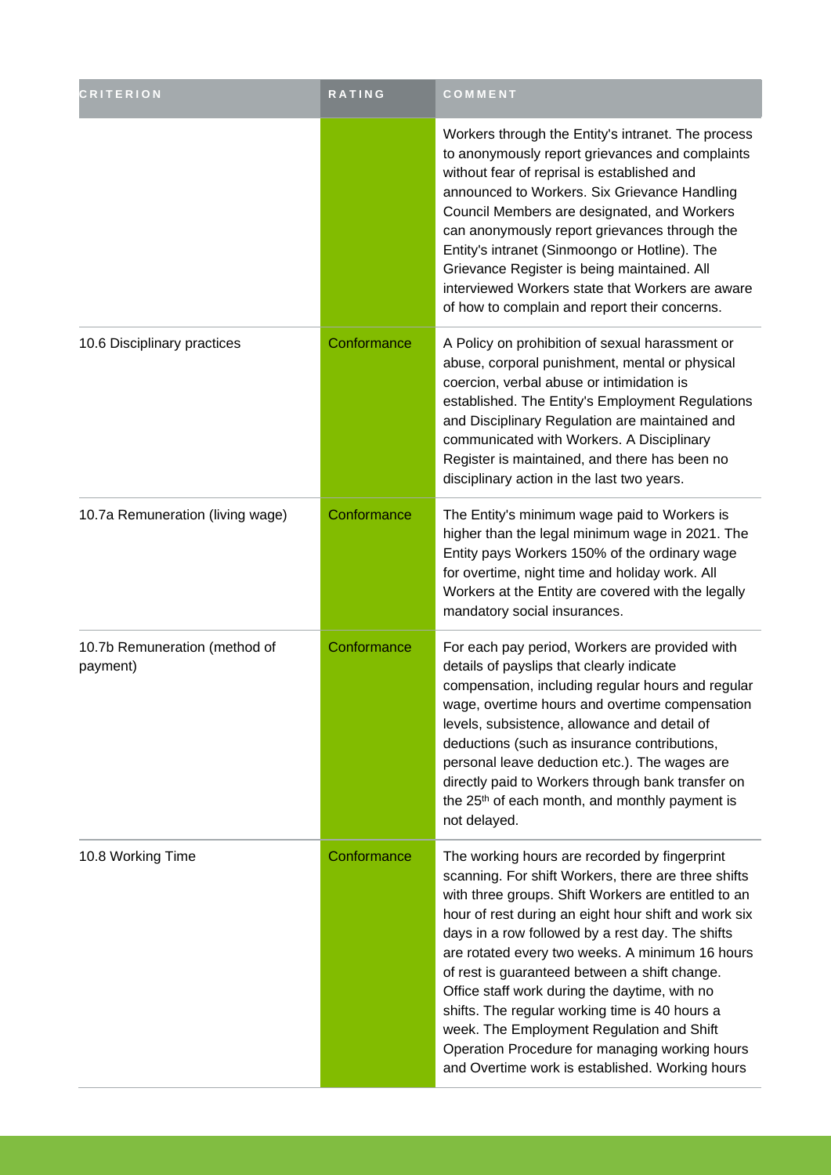| <b>CRITERION</b>                          | RATING      | COMMENT                                                                                                                                                                                                                                                                                                                                                                                                                                                                                                                                                                                                                          |
|-------------------------------------------|-------------|----------------------------------------------------------------------------------------------------------------------------------------------------------------------------------------------------------------------------------------------------------------------------------------------------------------------------------------------------------------------------------------------------------------------------------------------------------------------------------------------------------------------------------------------------------------------------------------------------------------------------------|
|                                           |             | Workers through the Entity's intranet. The process<br>to anonymously report grievances and complaints<br>without fear of reprisal is established and<br>announced to Workers. Six Grievance Handling<br>Council Members are designated, and Workers<br>can anonymously report grievances through the<br>Entity's intranet (Sinmoongo or Hotline). The<br>Grievance Register is being maintained. All<br>interviewed Workers state that Workers are aware<br>of how to complain and report their concerns.                                                                                                                        |
| 10.6 Disciplinary practices               | Conformance | A Policy on prohibition of sexual harassment or<br>abuse, corporal punishment, mental or physical<br>coercion, verbal abuse or intimidation is<br>established. The Entity's Employment Regulations<br>and Disciplinary Regulation are maintained and<br>communicated with Workers. A Disciplinary<br>Register is maintained, and there has been no<br>disciplinary action in the last two years.                                                                                                                                                                                                                                 |
| 10.7a Remuneration (living wage)          | Conformance | The Entity's minimum wage paid to Workers is<br>higher than the legal minimum wage in 2021. The<br>Entity pays Workers 150% of the ordinary wage<br>for overtime, night time and holiday work. All<br>Workers at the Entity are covered with the legally<br>mandatory social insurances.                                                                                                                                                                                                                                                                                                                                         |
| 10.7b Remuneration (method of<br>payment) | Conformance | For each pay period, Workers are provided with<br>details of payslips that clearly indicate<br>compensation, including regular hours and regular<br>wage, overtime hours and overtime compensation<br>levels, subsistence, allowance and detail of<br>deductions (such as insurance contributions,<br>personal leave deduction etc.). The wages are<br>directly paid to Workers through bank transfer on<br>the 25 <sup>th</sup> of each month, and monthly payment is<br>not delayed.                                                                                                                                           |
| 10.8 Working Time                         | Conformance | The working hours are recorded by fingerprint<br>scanning. For shift Workers, there are three shifts<br>with three groups. Shift Workers are entitled to an<br>hour of rest during an eight hour shift and work six<br>days in a row followed by a rest day. The shifts<br>are rotated every two weeks. A minimum 16 hours<br>of rest is guaranteed between a shift change.<br>Office staff work during the daytime, with no<br>shifts. The regular working time is 40 hours a<br>week. The Employment Regulation and Shift<br>Operation Procedure for managing working hours<br>and Overtime work is established. Working hours |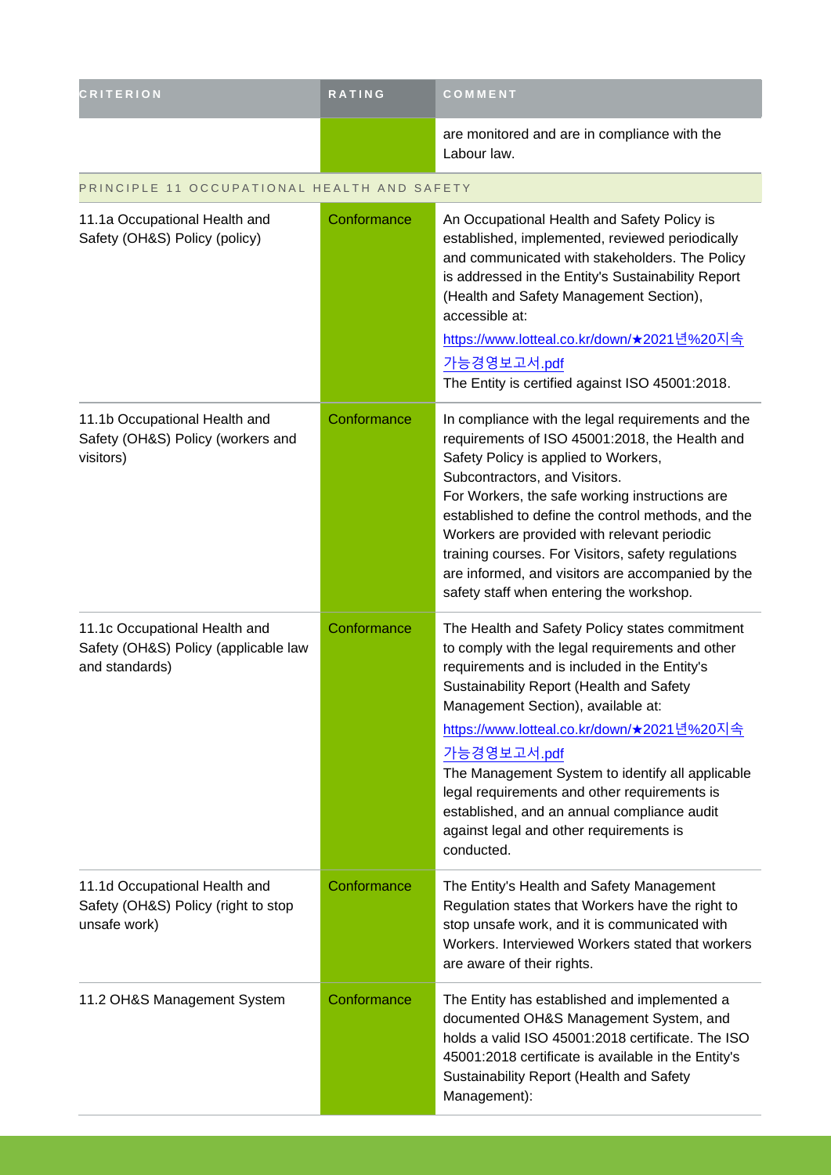| <b>CRITERION</b>                                                                        | <b>RATING</b> | COMMENT                                                                                                                                                                                                                                                                                                                                                                                                                                                                                                             |
|-----------------------------------------------------------------------------------------|---------------|---------------------------------------------------------------------------------------------------------------------------------------------------------------------------------------------------------------------------------------------------------------------------------------------------------------------------------------------------------------------------------------------------------------------------------------------------------------------------------------------------------------------|
|                                                                                         |               | are monitored and are in compliance with the<br>Labour law.                                                                                                                                                                                                                                                                                                                                                                                                                                                         |
| PRINCIPLE 11 OCCUPATIONAL HEALTH AND SAFETY                                             |               |                                                                                                                                                                                                                                                                                                                                                                                                                                                                                                                     |
| 11.1a Occupational Health and<br>Safety (OH&S) Policy (policy)                          | Conformance   | An Occupational Health and Safety Policy is<br>established, implemented, reviewed periodically<br>and communicated with stakeholders. The Policy<br>is addressed in the Entity's Sustainability Report<br>(Health and Safety Management Section),<br>accessible at:<br><u>https://www.lotteal.co.kr/down/★2021년%20지속</u><br>가능경영보고서.pdf                                                                                                                                                                             |
|                                                                                         |               | The Entity is certified against ISO 45001:2018.                                                                                                                                                                                                                                                                                                                                                                                                                                                                     |
| 11.1b Occupational Health and<br>Safety (OH&S) Policy (workers and<br>visitors)         | Conformance   | In compliance with the legal requirements and the<br>requirements of ISO 45001:2018, the Health and<br>Safety Policy is applied to Workers,<br>Subcontractors, and Visitors.<br>For Workers, the safe working instructions are<br>established to define the control methods, and the<br>Workers are provided with relevant periodic<br>training courses. For Visitors, safety regulations<br>are informed, and visitors are accompanied by the<br>safety staff when entering the workshop.                          |
| 11.1c Occupational Health and<br>Safety (OH&S) Policy (applicable law<br>and standards) | Conformance   | The Health and Safety Policy states commitment<br>to comply with the legal requirements and other<br>requirements and is included in the Entity's<br>Sustainability Report (Health and Safety<br>Management Section), available at:<br><u>https://www.lotteal.co.kr/down/★2021년%20지속</u><br>가능경영보고서.pdf<br>The Management System to identify all applicable<br>legal requirements and other requirements is<br>established, and an annual compliance audit<br>against legal and other requirements is<br>conducted. |
| 11.1d Occupational Health and<br>Safety (OH&S) Policy (right to stop<br>unsafe work)    | Conformance   | The Entity's Health and Safety Management<br>Regulation states that Workers have the right to<br>stop unsafe work, and it is communicated with<br>Workers. Interviewed Workers stated that workers<br>are aware of their rights.                                                                                                                                                                                                                                                                                    |
| 11.2 OH&S Management System                                                             | Conformance   | The Entity has established and implemented a<br>documented OH&S Management System, and<br>holds a valid ISO 45001:2018 certificate. The ISO<br>45001:2018 certificate is available in the Entity's<br>Sustainability Report (Health and Safety<br>Management):                                                                                                                                                                                                                                                      |